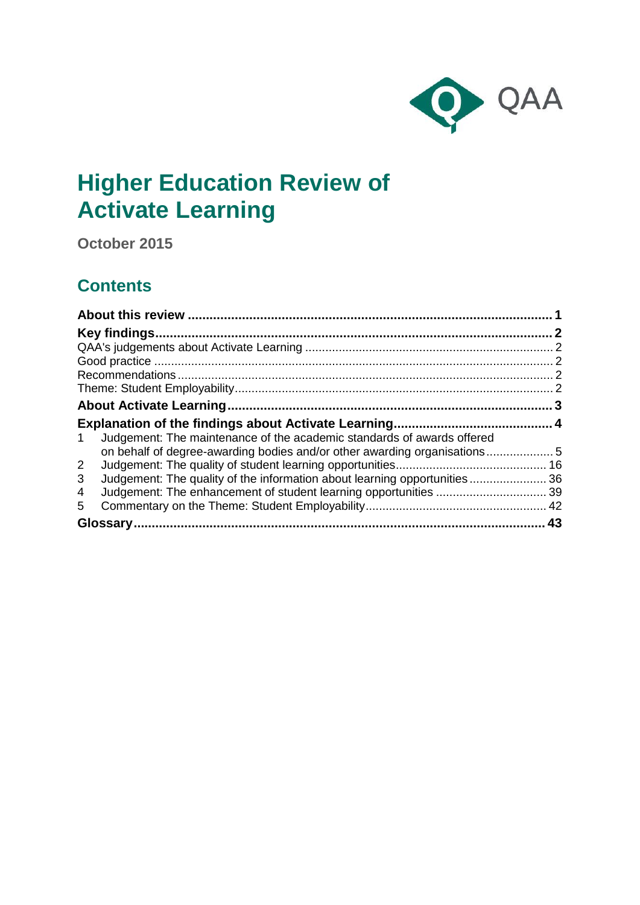

# **Higher Education Review of Activate Learning**

**October 2015**

# **Contents**

| Judgement: The maintenance of the academic standards of awards offered<br>1   |  |
|-------------------------------------------------------------------------------|--|
| on behalf of degree-awarding bodies and/or other awarding organisations5      |  |
| 2 <sup>1</sup>                                                                |  |
| 3<br>Judgement: The quality of the information about learning opportunities36 |  |
| 4                                                                             |  |
| 5                                                                             |  |
|                                                                               |  |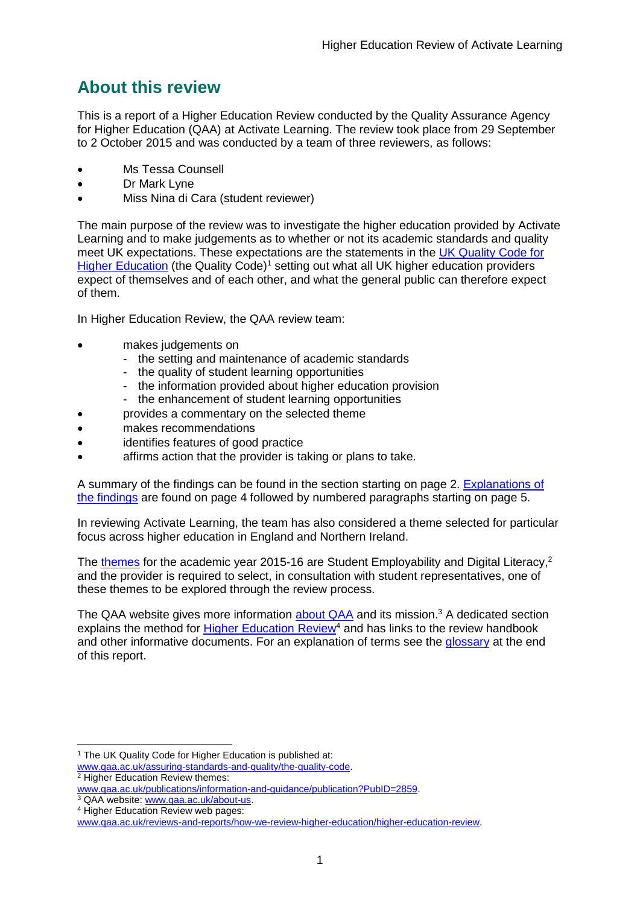# <span id="page-1-0"></span>**About this review**

This is a report of a Higher Education Review conducted by the Quality Assurance Agency for Higher Education (QAA) at Activate Learning. The review took place from 29 September to 2 October 2015 and was conducted by a team of three reviewers, as follows:

- Ms Tessa Counsell
- Dr Mark Lyne
- Miss Nina di Cara (student reviewer)

The main purpose of the review was to investigate the higher education provided by Activate Learning and to make judgements as to whether or not its academic standards and quality meet UK expectations. These expectations are the statements in the [UK Quality Code for](http://www.qaa.ac.uk/assuring-standards-and-quality/the-quality-code)  [Higher Education](http://www.qaa.ac.uk/assuring-standards-and-quality/the-quality-code) (the Quality Code)<sup>1</sup> setting out what all UK [higher education providers](http://newlive.qaa.ac.uk/AboutUs/glossary/Pages/glossary-h.aspx#h2.1) expect of themselves and of each other, and what the general public can therefore expect of them.

In Higher Education Review, the QAA review team:

- makes judgements on
	- the setting and maintenance of academic standards
	- the quality of student learning opportunities
	- the information provided about higher education provision
	- the enhancement of student learning opportunities
	- provides a commentary on the selected theme
- makes recommendations
- identifies features of good practice
- affirms action that the provider is taking or plans to take.

A summary of the findings can be found in the section starting on page 2. [Explanations of](#page-4-0)  [the findings](#page-4-0) are found on page 4 followed by numbered paragraphs starting on page 5.

In reviewing Activate Learning, the team has also considered a theme selected for particular focus across higher education in England and Northern Ireland.

The [themes](http://www.qaa.ac.uk/publications/information-and-guidance/publication?PubID=106) for the academic year 2015-16 are Student Employability and Digital Literacy,<sup>2</sup> and the provider is required to select, in consultation with student representatives, one of these themes to be explored through the review process.

The QAA website gives more information [about QAA](http://www.qaa.ac.uk/aboutus/pages/default.aspx) and its mission.<sup>3</sup> A dedicated section explains the method for [Higher Education](http://www.qaa.ac.uk/reviews-and-reports/how-we-review-higher-education/higher-education-review) Review<sup>4</sup> and has links to the review handbook and other informative documents. For an explanation of terms see the [glossary](#page-43-0) at the end of this report.

<sup>-</sup><sup>1</sup> The UK Quality Code for Higher Education is published at:

[www.qaa.ac.uk/assuring-standards-and-quality/the-quality-code.](http://www.qaa.ac.uk/assuring-standards-and-quality/the-quality-code) <sup>2</sup> Higher Education Review themes:

[www.qaa.ac.uk/publications/information-and-guidance/publication?PubID=2859.](http://www.qaa.ac.uk/publications/information-and-guidance/publication?PubID=2859)

<sup>&</sup>lt;sup>3</sup> QAA website: [www.qaa.ac.uk/about-us.](http://www.qaa.ac.uk/about-us)

<sup>4</sup> Higher Education Review web pages:

[www.qaa.ac.uk/reviews-and-reports/how-we-review-higher-education/higher-education-review.](http://www.qaa.ac.uk/reviews-and-reports/how-we-review-higher-education/higher-education-review)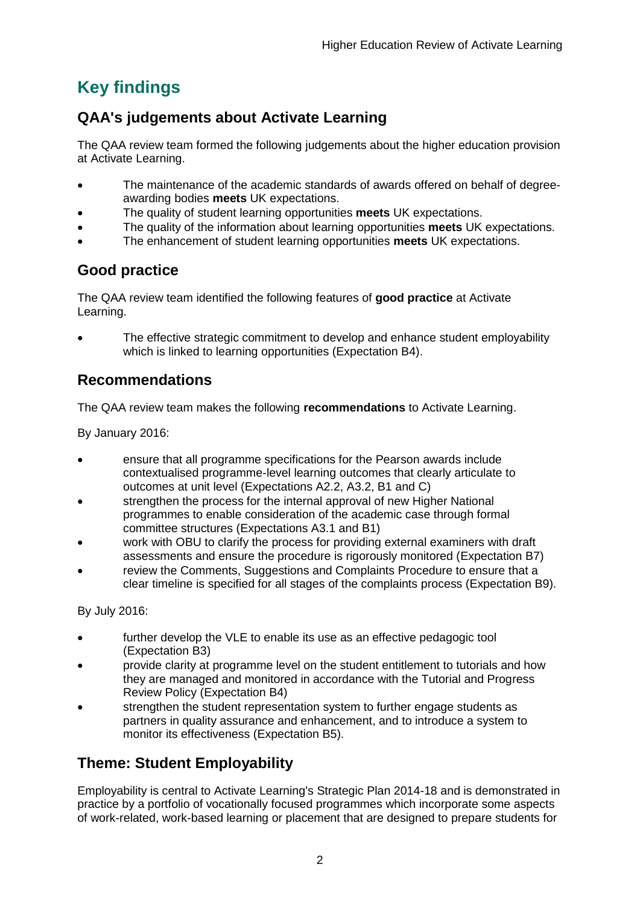# <span id="page-2-0"></span>**Key findings**

# <span id="page-2-1"></span>**QAA's judgements about Activate Learning**

The QAA review team formed the following judgements about the higher education provision at Activate Learning.

- The maintenance of the academic standards of awards offered on behalf of degreeawarding bodies **meets** UK expectations.
- The quality of student learning opportunities **meets** UK expectations.
- The quality of the information about learning opportunities **meets** UK expectations.
- The enhancement of student learning opportunities **meets** UK expectations.

# <span id="page-2-2"></span>**Good practice**

The QAA review team identified the following features of **good practice** at Activate Learning.

 The effective strategic commitment to develop and enhance student employability which is linked to learning opportunities (Expectation B4).

# <span id="page-2-3"></span>**Recommendations**

The QAA review team makes the following **recommendations** to Activate Learning.

By January 2016:

- ensure that all programme specifications for the Pearson awards include contextualised programme-level learning outcomes that clearly articulate to outcomes at unit level (Expectations A2.2, A3.2, B1 and C)
- strengthen the process for the internal approval of new Higher National programmes to enable consideration of the academic case through formal committee structures (Expectations A3.1 and B1)
- work with OBU to clarify the process for providing external examiners with draft assessments and ensure the procedure is rigorously monitored (Expectation B7)
- review the Comments, Suggestions and Complaints Procedure to ensure that a clear timeline is specified for all stages of the complaints process (Expectation B9).

By July 2016:

- further develop the VLE to enable its use as an effective pedagogic tool (Expectation B3)
- provide clarity at programme level on the student entitlement to tutorials and how they are managed and monitored in accordance with the Tutorial and Progress Review Policy (Expectation B4)
- strengthen the student representation system to further engage students as partners in quality assurance and enhancement, and to introduce a system to monitor its effectiveness (Expectation B5).

# <span id="page-2-4"></span>**Theme: Student Employability**

Employability is central to Activate Learning's Strategic Plan 2014-18 and is demonstrated in practice by a portfolio of vocationally focused programmes which incorporate some aspects of work-related, work-based learning or placement that are designed to prepare students for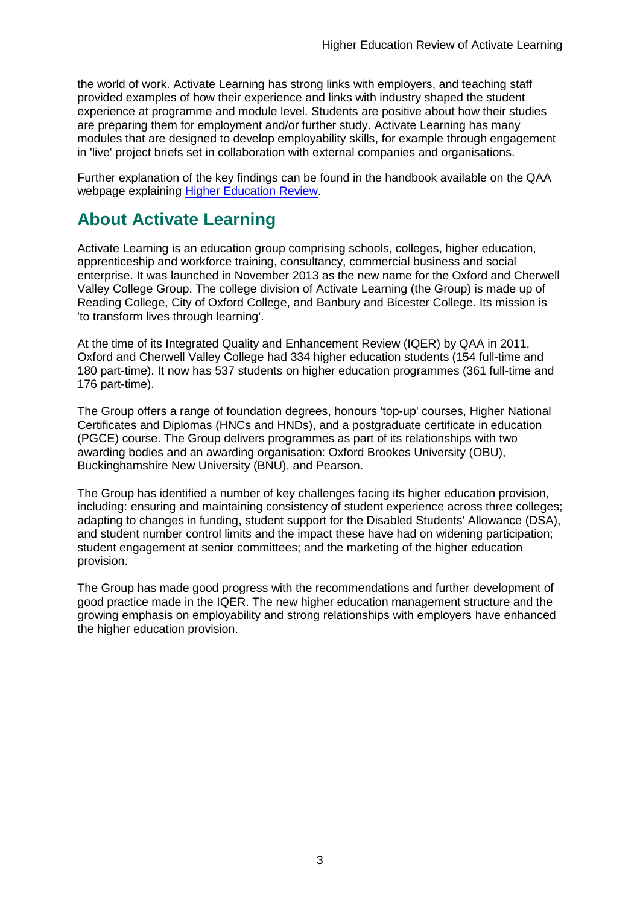the world of work. Activate Learning has strong links with employers, and teaching staff provided examples of how their experience and links with industry shaped the student experience at programme and module level. Students are positive about how their studies are preparing them for employment and/or further study. Activate Learning has many modules that are designed to develop employability skills, for example through engagement in 'live' project briefs set in collaboration with external companies and organisations.

Further explanation of the key findings can be found in the handbook available on the QAA webpage explaining [Higher Education Review.](http://www.qaa.ac.uk/reviews-and-reports/how-we-review-higher-education/higher-education-review)

# <span id="page-3-0"></span>**About Activate Learning**

Activate Learning is an education group comprising schools, colleges, higher education, apprenticeship and workforce training, consultancy, commercial business and social enterprise. It was launched in November 2013 as the new name for the Oxford and Cherwell Valley College Group. The college division of Activate Learning (the Group) is made up of Reading College, City of Oxford College, and Banbury and Bicester College. Its mission is 'to transform lives through learning'.

At the time of its Integrated Quality and Enhancement Review (IQER) by QAA in 2011, Oxford and Cherwell Valley College had 334 higher education students (154 full-time and 180 part-time). It now has 537 students on higher education programmes (361 full-time and 176 part-time).

The Group offers a range of foundation degrees, honours 'top-up' courses, Higher National Certificates and Diplomas (HNCs and HNDs), and a postgraduate certificate in education (PGCE) course. The Group delivers programmes as part of its relationships with two awarding bodies and an awarding organisation: Oxford Brookes University (OBU), Buckinghamshire New University (BNU), and Pearson.

The Group has identified a number of key challenges facing its higher education provision, including: ensuring and maintaining consistency of student experience across three colleges; adapting to changes in funding, student support for the Disabled Students' Allowance (DSA), and student number control limits and the impact these have had on widening participation; student engagement at senior committees; and the marketing of the higher education provision.

The Group has made good progress with the recommendations and further development of good practice made in the IQER. The new higher education management structure and the growing emphasis on employability and strong relationships with employers have enhanced the higher education provision.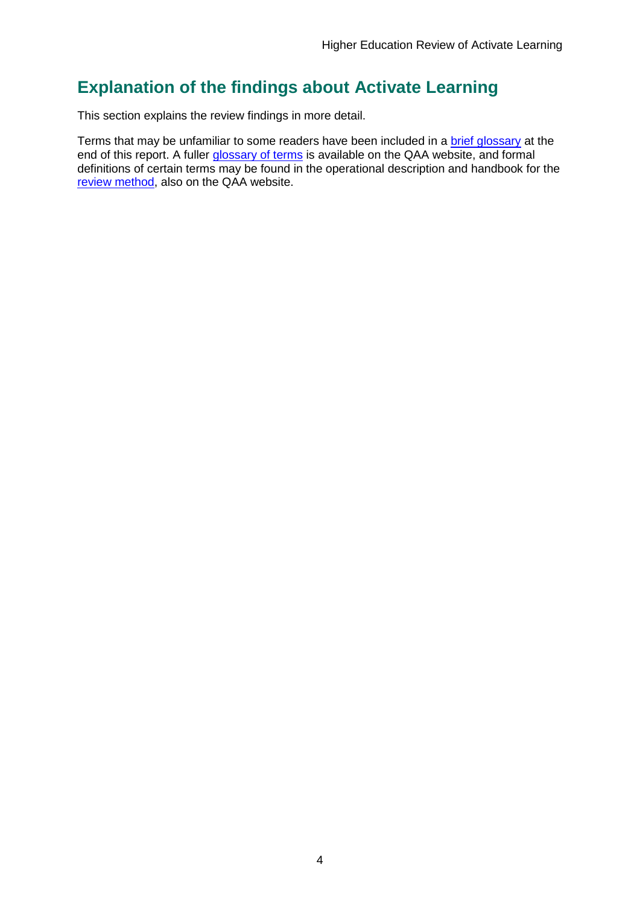# <span id="page-4-0"></span>**Explanation of the findings about Activate Learning**

This section explains the review findings in more detail.

Terms that may be unfamiliar to some readers have been included in a [brief glossary](#page-42-1) at the end of this report. A fuller [glossary of terms](http://www.qaa.ac.uk/Pages/GlossaryEN.aspx) is available on the QAA website, and formal definitions of certain terms may be found in the operational description and handbook for the [review method,](http://www.qaa.ac.uk/reviews-and-reports/how-we-review-higher-education/higher-education-review) also on the QAA website.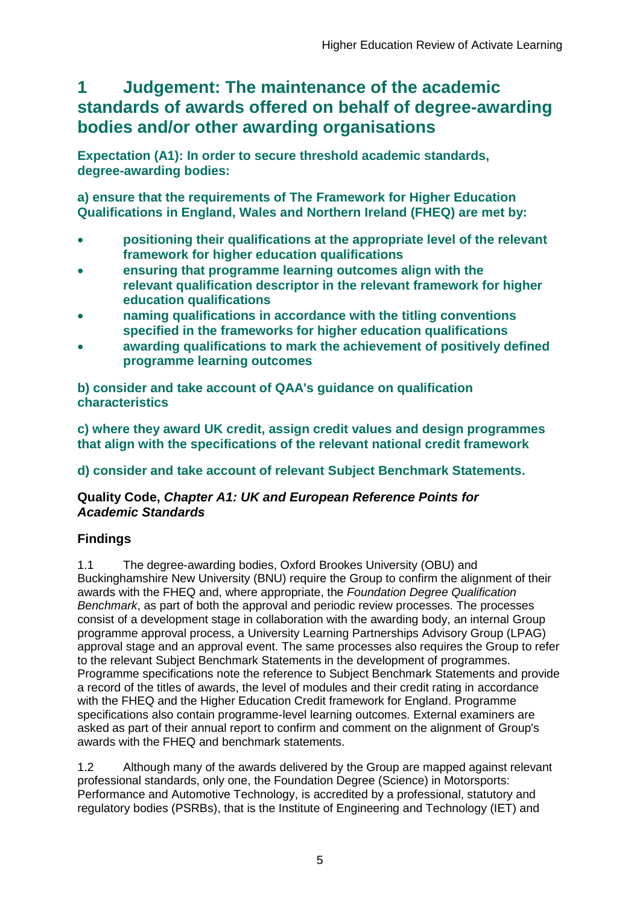# <span id="page-5-0"></span>**1 Judgement: The maintenance of the academic standards of awards offered on behalf of degree-awarding bodies and/or other awarding organisations**

**Expectation (A1): In order to secure threshold academic standards, degree-awarding bodies:** 

**a) ensure that the requirements of The Framework for Higher Education Qualifications in England, Wales and Northern Ireland (FHEQ) are met by:**

- **positioning their qualifications at the appropriate level of the relevant framework for higher education qualifications**
- **ensuring that programme learning outcomes align with the relevant qualification descriptor in the relevant framework for higher education qualifications**
- **naming qualifications in accordance with the titling conventions specified in the frameworks for higher education qualifications**
- **awarding qualifications to mark the achievement of positively defined programme learning outcomes**

**b) consider and take account of QAA's guidance on qualification characteristics** 

**c) where they award UK credit, assign credit values and design programmes that align with the specifications of the relevant national credit framework** 

## **d) consider and take account of relevant Subject Benchmark Statements.**

## **Quality Code,** *Chapter A1: UK and European Reference Points for Academic Standards*

## **Findings**

1.1 The degree-awarding bodies, Oxford Brookes University (OBU) and Buckinghamshire New University (BNU) require the Group to confirm the alignment of their awards with the FHEQ and, where appropriate, the *Foundation Degree Qualification Benchmark*, as part of both the approval and periodic review processes. The processes consist of a development stage in collaboration with the awarding body, an internal Group programme approval process, a University Learning Partnerships Advisory Group (LPAG) approval stage and an approval event. The same processes also requires the Group to refer to the relevant Subject Benchmark Statements in the development of programmes. Programme specifications note the reference to Subject Benchmark Statements and provide a record of the titles of awards, the level of modules and their credit rating in accordance with the FHEQ and the Higher Education Credit framework for England. Programme specifications also contain programme-level learning outcomes. External examiners are asked as part of their annual report to confirm and comment on the alignment of Group's awards with the FHEQ and benchmark statements.

1.2 Although many of the awards delivered by the Group are mapped against relevant professional standards, only one, the Foundation Degree (Science) in Motorsports: Performance and Automotive Technology, is accredited by a professional, statutory and regulatory bodies (PSRBs), that is the Institute of Engineering and Technology (IET) and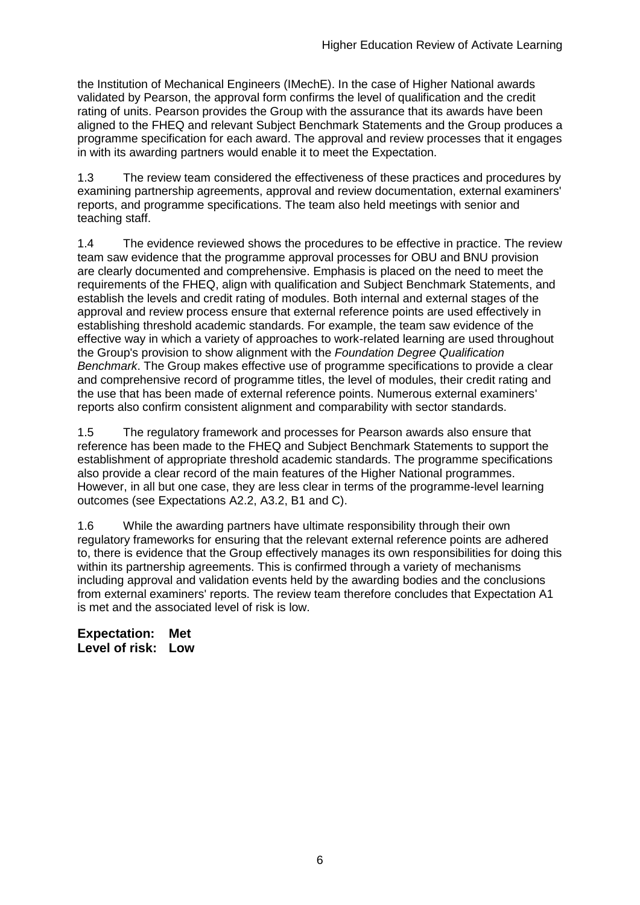the Institution of Mechanical Engineers (IMechE). In the case of Higher National awards validated by Pearson, the approval form confirms the level of qualification and the credit rating of units. Pearson provides the Group with the assurance that its awards have been aligned to the FHEQ and relevant Subject Benchmark Statements and the Group produces a programme specification for each award. The approval and review processes that it engages in with its awarding partners would enable it to meet the Expectation.

1.3 The review team considered the effectiveness of these practices and procedures by examining partnership agreements, approval and review documentation, external examiners' reports, and programme specifications. The team also held meetings with senior and teaching staff.

1.4 The evidence reviewed shows the procedures to be effective in practice. The review team saw evidence that the programme approval processes for OBU and BNU provision are clearly documented and comprehensive. Emphasis is placed on the need to meet the requirements of the FHEQ, align with qualification and Subject Benchmark Statements, and establish the levels and credit rating of modules. Both internal and external stages of the approval and review process ensure that external reference points are used effectively in establishing threshold academic standards. For example, the team saw evidence of the effective way in which a variety of approaches to work-related learning are used throughout the Group's provision to show alignment with the *Foundation Degree Qualification Benchmark*. The Group makes effective use of programme specifications to provide a clear and comprehensive record of programme titles, the level of modules, their credit rating and the use that has been made of external reference points. Numerous external examiners' reports also confirm consistent alignment and comparability with sector standards.

1.5 The regulatory framework and processes for Pearson awards also ensure that reference has been made to the FHEQ and Subject Benchmark Statements to support the establishment of appropriate threshold academic standards. The programme specifications also provide a clear record of the main features of the Higher National programmes. However, in all but one case, they are less clear in terms of the programme-level learning outcomes (see Expectations A2.2, A3.2, B1 and C).

1.6 While the awarding partners have ultimate responsibility through their own regulatory frameworks for ensuring that the relevant external reference points are adhered to, there is evidence that the Group effectively manages its own responsibilities for doing this within its partnership agreements. This is confirmed through a variety of mechanisms including approval and validation events held by the awarding bodies and the conclusions from external examiners' reports. The review team therefore concludes that Expectation A1 is met and the associated level of risk is low.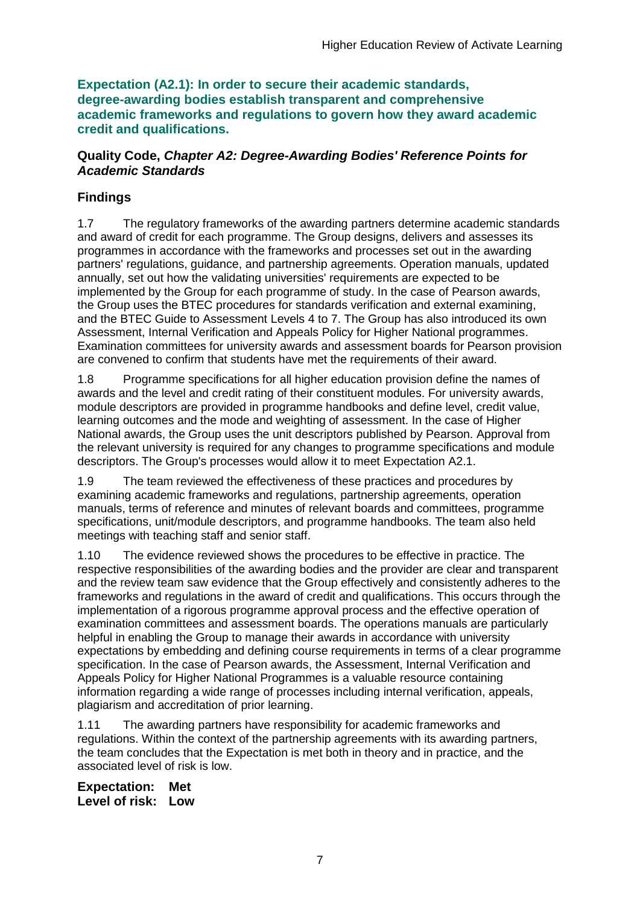**Expectation (A2.1): In order to secure their academic standards, degree-awarding bodies establish transparent and comprehensive academic frameworks and regulations to govern how they award academic credit and qualifications.**

## **Quality Code,** *Chapter A2: Degree-Awarding Bodies' Reference Points for Academic Standards*

# **Findings**

1.7 The regulatory frameworks of the awarding partners determine academic standards and award of credit for each programme. The Group designs, delivers and assesses its programmes in accordance with the frameworks and processes set out in the awarding partners' regulations, guidance, and partnership agreements. Operation manuals, updated annually, set out how the validating universities' requirements are expected to be implemented by the Group for each programme of study. In the case of Pearson awards, the Group uses the BTEC procedures for standards verification and external examining, and the BTEC Guide to Assessment Levels 4 to 7. The Group has also introduced its own Assessment, Internal Verification and Appeals Policy for Higher National programmes. Examination committees for university awards and assessment boards for Pearson provision are convened to confirm that students have met the requirements of their award.

1.8 Programme specifications for all higher education provision define the names of awards and the level and credit rating of their constituent modules. For university awards, module descriptors are provided in programme handbooks and define level, credit value, learning outcomes and the mode and weighting of assessment. In the case of Higher National awards, the Group uses the unit descriptors published by Pearson. Approval from the relevant university is required for any changes to programme specifications and module descriptors. The Group's processes would allow it to meet Expectation A2.1.

1.9 The team reviewed the effectiveness of these practices and procedures by examining academic frameworks and regulations, partnership agreements, operation manuals, terms of reference and minutes of relevant boards and committees, programme specifications, unit/module descriptors, and programme handbooks. The team also held meetings with teaching staff and senior staff.

1.10 The evidence reviewed shows the procedures to be effective in practice. The respective responsibilities of the awarding bodies and the provider are clear and transparent and the review team saw evidence that the Group effectively and consistently adheres to the frameworks and regulations in the award of credit and qualifications. This occurs through the implementation of a rigorous programme approval process and the effective operation of examination committees and assessment boards. The operations manuals are particularly helpful in enabling the Group to manage their awards in accordance with university expectations by embedding and defining course requirements in terms of a clear programme specification. In the case of Pearson awards, the Assessment, Internal Verification and Appeals Policy for Higher National Programmes is a valuable resource containing information regarding a wide range of processes including internal verification, appeals, plagiarism and accreditation of prior learning.

1.11 The awarding partners have responsibility for academic frameworks and regulations. Within the context of the partnership agreements with its awarding partners, the team concludes that the Expectation is met both in theory and in practice, and the associated level of risk is low.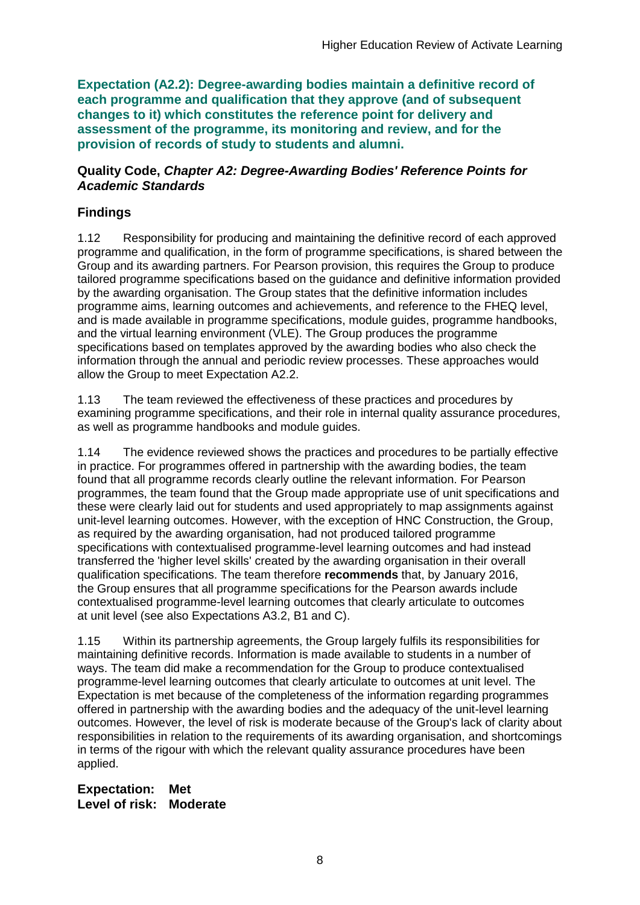**Expectation (A2.2): Degree-awarding bodies maintain a definitive record of each programme and qualification that they approve (and of subsequent changes to it) which constitutes the reference point for delivery and assessment of the programme, its monitoring and review, and for the provision of records of study to students and alumni.** 

#### **Quality Code,** *Chapter A2: Degree-Awarding Bodies' Reference Points for Academic Standards*

# **Findings**

1.12 Responsibility for producing and maintaining the definitive record of each approved programme and qualification, in the form of programme specifications, is shared between the Group and its awarding partners. For Pearson provision, this requires the Group to produce tailored programme specifications based on the guidance and definitive information provided by the awarding organisation. The Group states that the definitive information includes programme aims, learning outcomes and achievements, and reference to the FHEQ level, and is made available in programme specifications, module guides, programme handbooks, and the virtual learning environment (VLE). The Group produces the programme specifications based on templates approved by the awarding bodies who also check the information through the annual and periodic review processes. These approaches would allow the Group to meet Expectation A2.2.

1.13 The team reviewed the effectiveness of these practices and procedures by examining programme specifications, and their role in internal quality assurance procedures, as well as programme handbooks and module guides.

1.14 The evidence reviewed shows the practices and procedures to be partially effective in practice. For programmes offered in partnership with the awarding bodies, the team found that all programme records clearly outline the relevant information. For Pearson programmes, the team found that the Group made appropriate use of unit specifications and these were clearly laid out for students and used appropriately to map assignments against unit-level learning outcomes. However, with the exception of HNC Construction, the Group, as required by the awarding organisation, had not produced tailored programme specifications with contextualised programme-level learning outcomes and had instead transferred the 'higher level skills' created by the awarding organisation in their overall qualification specifications. The team therefore **recommends** that, by January 2016, the Group ensures that all programme specifications for the Pearson awards include contextualised programme-level learning outcomes that clearly articulate to outcomes at unit level (see also Expectations A3.2, B1 and C).

1.15 Within its partnership agreements, the Group largely fulfils its responsibilities for maintaining definitive records. Information is made available to students in a number of ways. The team did make a recommendation for the Group to produce contextualised programme-level learning outcomes that clearly articulate to outcomes at unit level. The Expectation is met because of the completeness of the information regarding programmes offered in partnership with the awarding bodies and the adequacy of the unit-level learning outcomes. However, the level of risk is moderate because of the Group's lack of clarity about responsibilities in relation to the requirements of its awarding organisation, and shortcomings in terms of the rigour with which the relevant quality assurance procedures have been applied.

**Expectation: Met Level of risk: Moderate**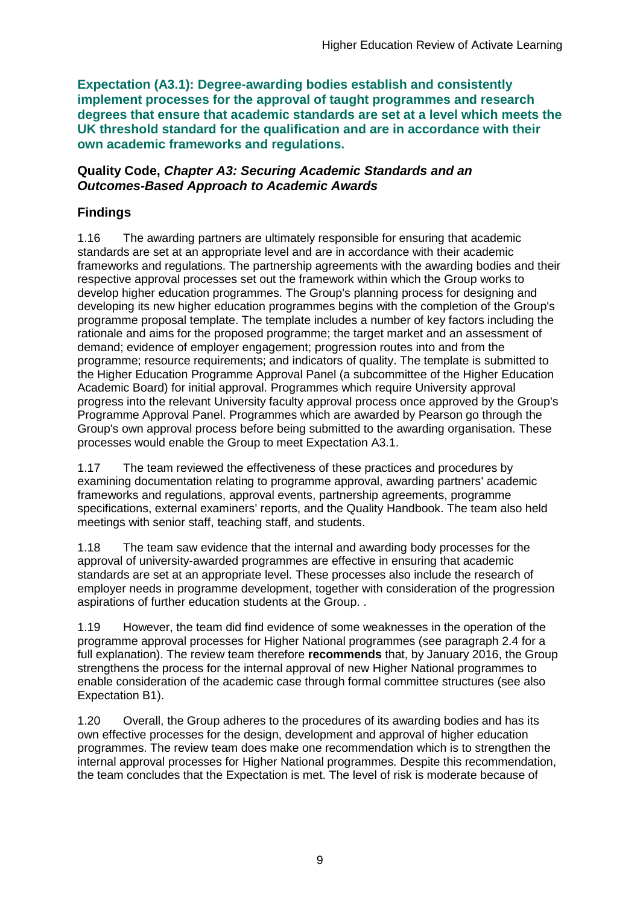**Expectation (A3.1): Degree-awarding bodies establish and consistently implement processes for the approval of taught programmes and research degrees that ensure that academic standards are set at a level which meets the UK threshold standard for the qualification and are in accordance with their own academic frameworks and regulations.**

#### **Quality Code,** *Chapter A3: Securing Academic Standards and an Outcomes-Based Approach to Academic Awards*

# **Findings**

1.16 The awarding partners are ultimately responsible for ensuring that academic standards are set at an appropriate level and are in accordance with their academic frameworks and regulations. The partnership agreements with the awarding bodies and their respective approval processes set out the framework within which the Group works to develop higher education programmes. The Group's planning process for designing and developing its new higher education programmes begins with the completion of the Group's programme proposal template. The template includes a number of key factors including the rationale and aims for the proposed programme; the target market and an assessment of demand; evidence of employer engagement; progression routes into and from the programme; resource requirements; and indicators of quality. The template is submitted to the Higher Education Programme Approval Panel (a subcommittee of the Higher Education Academic Board) for initial approval. Programmes which require University approval progress into the relevant University faculty approval process once approved by the Group's Programme Approval Panel. Programmes which are awarded by Pearson go through the Group's own approval process before being submitted to the awarding organisation. These processes would enable the Group to meet Expectation A3.1.

1.17 The team reviewed the effectiveness of these practices and procedures by examining documentation relating to programme approval, awarding partners' academic frameworks and regulations, approval events, partnership agreements, programme specifications, external examiners' reports, and the Quality Handbook. The team also held meetings with senior staff, teaching staff, and students.

1.18 The team saw evidence that the internal and awarding body processes for the approval of university-awarded programmes are effective in ensuring that academic standards are set at an appropriate level. These processes also include the research of employer needs in programme development, together with consideration of the progression aspirations of further education students at the Group. .

1.19 However, the team did find evidence of some weaknesses in the operation of the programme approval processes for Higher National programmes (see paragraph 2.4 for a full explanation). The review team therefore **recommends** that, by January 2016, the Group strengthens the process for the internal approval of new Higher National programmes to enable consideration of the academic case through formal committee structures (see also Expectation B1).

1.20 Overall, the Group adheres to the procedures of its awarding bodies and has its own effective processes for the design, development and approval of higher education programmes. The review team does make one recommendation which is to strengthen the internal approval processes for Higher National programmes. Despite this recommendation, the team concludes that the Expectation is met. The level of risk is moderate because of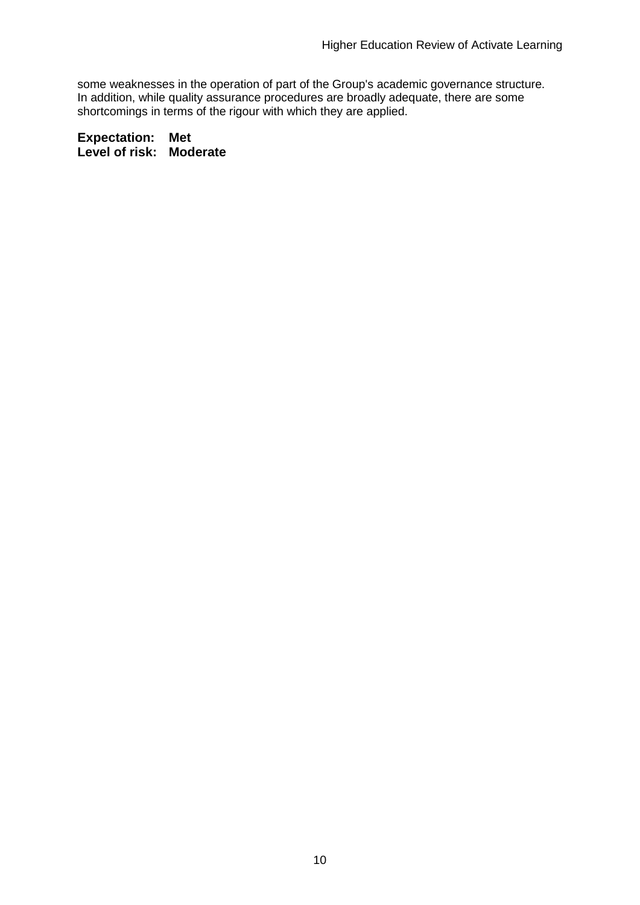some weaknesses in the operation of part of the Group's academic governance structure. In addition, while quality assurance procedures are broadly adequate, there are some shortcomings in terms of the rigour with which they are applied.

**Expectation: Met Level of risk: Moderate**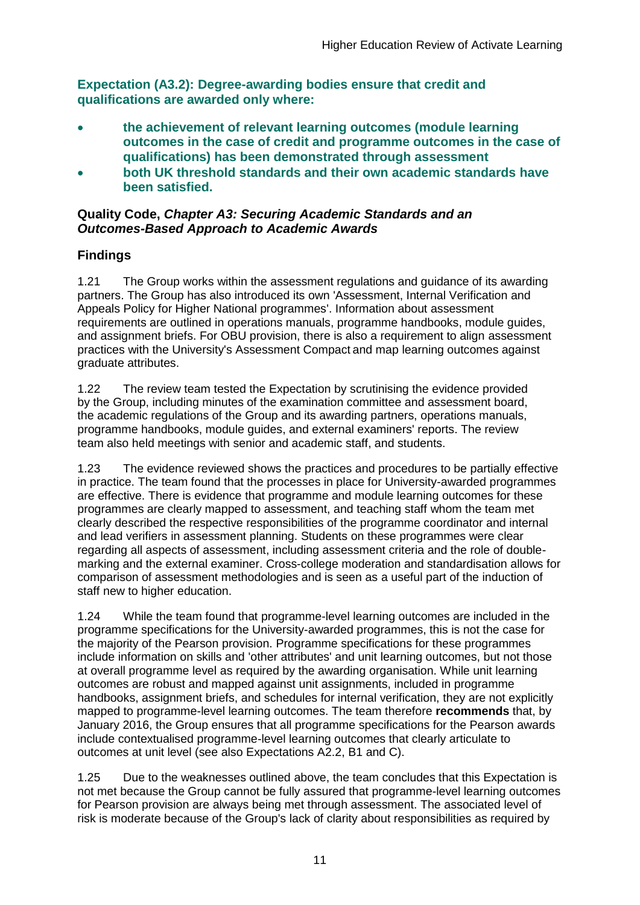**Expectation (A3.2): Degree-awarding bodies ensure that credit and qualifications are awarded only where:** 

- **the achievement of relevant learning outcomes (module learning outcomes in the case of credit and programme outcomes in the case of qualifications) has been demonstrated through assessment**
- **both UK threshold standards and their own academic standards have been satisfied.**

#### **Quality Code,** *Chapter A3: Securing Academic Standards and an Outcomes-Based Approach to Academic Awards*

# **Findings**

1.21 The Group works within the assessment regulations and guidance of its awarding partners. The Group has also introduced its own 'Assessment, Internal Verification and Appeals Policy for Higher National programmes'. Information about assessment requirements are outlined in operations manuals, programme handbooks, module guides, and assignment briefs. For OBU provision, there is also a requirement to align assessment practices with the University's Assessment Compact and map learning outcomes against graduate attributes.

1.22 The review team tested the Expectation by scrutinising the evidence provided by the Group, including minutes of the examination committee and assessment board, the academic regulations of the Group and its awarding partners, operations manuals, programme handbooks, module guides, and external examiners' reports. The review team also held meetings with senior and academic staff, and students.

1.23 The evidence reviewed shows the practices and procedures to be partially effective in practice. The team found that the processes in place for University-awarded programmes are effective. There is evidence that programme and module learning outcomes for these programmes are clearly mapped to assessment, and teaching staff whom the team met clearly described the respective responsibilities of the programme coordinator and internal and lead verifiers in assessment planning. Students on these programmes were clear regarding all aspects of assessment, including assessment criteria and the role of doublemarking and the external examiner. Cross-college moderation and standardisation allows for comparison of assessment methodologies and is seen as a useful part of the induction of staff new to higher education.

1.24 While the team found that programme-level learning outcomes are included in the programme specifications for the University-awarded programmes, this is not the case for the majority of the Pearson provision. Programme specifications for these programmes include information on skills and 'other attributes' and unit learning outcomes, but not those at overall programme level as required by the awarding organisation. While unit learning outcomes are robust and mapped against unit assignments, included in programme handbooks, assignment briefs, and schedules for internal verification, they are not explicitly mapped to programme-level learning outcomes. The team therefore **recommends** that, by January 2016, the Group ensures that all programme specifications for the Pearson awards include contextualised programme-level learning outcomes that clearly articulate to outcomes at unit level (see also Expectations A2.2, B1 and C).

1.25 Due to the weaknesses outlined above, the team concludes that this Expectation is not met because the Group cannot be fully assured that programme-level learning outcomes for Pearson provision are always being met through assessment. The associated level of risk is moderate because of the Group's lack of clarity about responsibilities as required by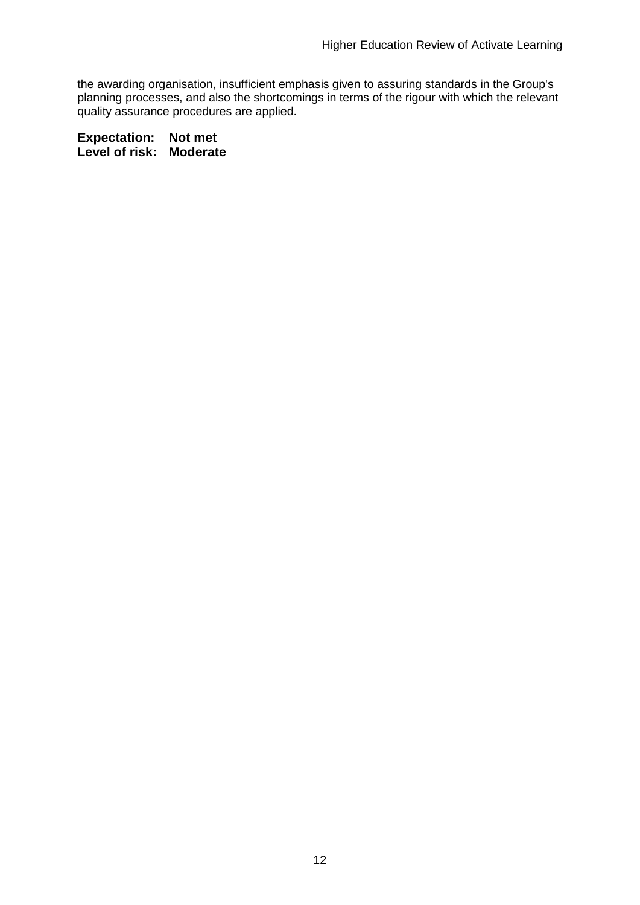the awarding organisation, insufficient emphasis given to assuring standards in the Group's planning processes, and also the shortcomings in terms of the rigour with which the relevant quality assurance procedures are applied.

**Expectation: Not met Level of risk: Moderate**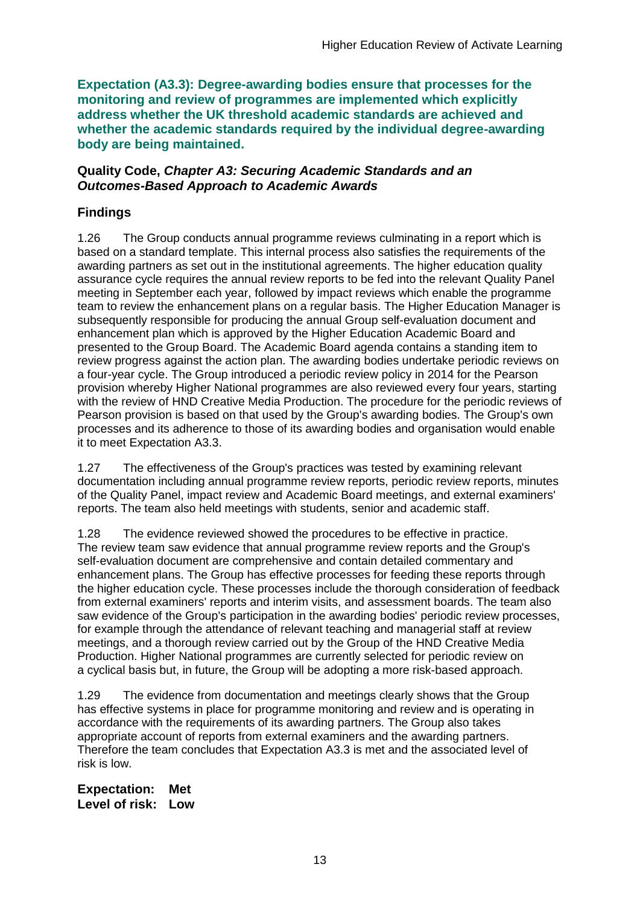**Expectation (A3.3): Degree-awarding bodies ensure that processes for the monitoring and review of programmes are implemented which explicitly address whether the UK threshold academic standards are achieved and whether the academic standards required by the individual degree-awarding body are being maintained.**

#### **Quality Code,** *Chapter A3: Securing Academic Standards and an Outcomes-Based Approach to Academic Awards*

# **Findings**

1.26 The Group conducts annual programme reviews culminating in a report which is based on a standard template. This internal process also satisfies the requirements of the awarding partners as set out in the institutional agreements. The higher education quality assurance cycle requires the annual review reports to be fed into the relevant Quality Panel meeting in September each year, followed by impact reviews which enable the programme team to review the enhancement plans on a regular basis. The Higher Education Manager is subsequently responsible for producing the annual Group self-evaluation document and enhancement plan which is approved by the Higher Education Academic Board and presented to the Group Board. The Academic Board agenda contains a standing item to review progress against the action plan. The awarding bodies undertake periodic reviews on a four-year cycle. The Group introduced a periodic review policy in 2014 for the Pearson provision whereby Higher National programmes are also reviewed every four years, starting with the review of HND Creative Media Production. The procedure for the periodic reviews of Pearson provision is based on that used by the Group's awarding bodies. The Group's own processes and its adherence to those of its awarding bodies and organisation would enable it to meet Expectation A3.3.

1.27 The effectiveness of the Group's practices was tested by examining relevant documentation including annual programme review reports, periodic review reports, minutes of the Quality Panel, impact review and Academic Board meetings, and external examiners' reports. The team also held meetings with students, senior and academic staff.

1.28 The evidence reviewed showed the procedures to be effective in practice. The review team saw evidence that annual programme review reports and the Group's self-evaluation document are comprehensive and contain detailed commentary and enhancement plans. The Group has effective processes for feeding these reports through the higher education cycle. These processes include the thorough consideration of feedback from external examiners' reports and interim visits, and assessment boards. The team also saw evidence of the Group's participation in the awarding bodies' periodic review processes, for example through the attendance of relevant teaching and managerial staff at review meetings, and a thorough review carried out by the Group of the HND Creative Media Production. Higher National programmes are currently selected for periodic review on a cyclical basis but, in future, the Group will be adopting a more risk-based approach.

1.29 The evidence from documentation and meetings clearly shows that the Group has effective systems in place for programme monitoring and review and is operating in accordance with the requirements of its awarding partners. The Group also takes appropriate account of reports from external examiners and the awarding partners. Therefore the team concludes that Expectation A3.3 is met and the associated level of risk is low.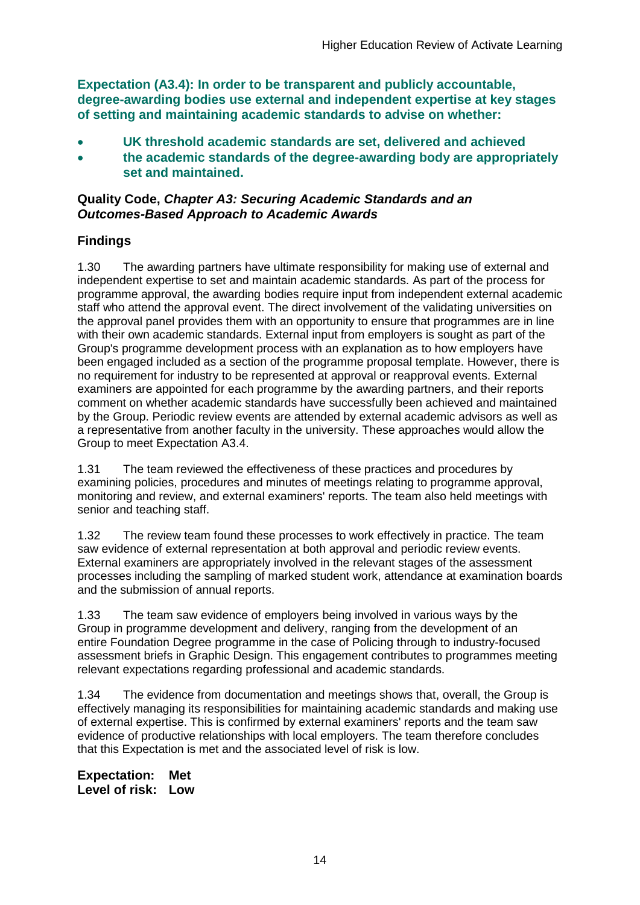**Expectation (A3.4): In order to be transparent and publicly accountable, degree-awarding bodies use external and independent expertise at key stages of setting and maintaining academic standards to advise on whether:**

- **UK threshold academic standards are set, delivered and achieved**
- **the academic standards of the degree-awarding body are appropriately set and maintained.**

#### **Quality Code,** *Chapter A3: Securing Academic Standards and an Outcomes-Based Approach to Academic Awards*

## **Findings**

1.30 The awarding partners have ultimate responsibility for making use of external and independent expertise to set and maintain academic standards. As part of the process for programme approval, the awarding bodies require input from independent external academic staff who attend the approval event. The direct involvement of the validating universities on the approval panel provides them with an opportunity to ensure that programmes are in line with their own academic standards. External input from employers is sought as part of the Group's programme development process with an explanation as to how employers have been engaged included as a section of the programme proposal template. However, there is no requirement for industry to be represented at approval or reapproval events. External examiners are appointed for each programme by the awarding partners, and their reports comment on whether academic standards have successfully been achieved and maintained by the Group. Periodic review events are attended by external academic advisors as well as a representative from another faculty in the university. These approaches would allow the Group to meet Expectation A3.4.

1.31 The team reviewed the effectiveness of these practices and procedures by examining policies, procedures and minutes of meetings relating to programme approval, monitoring and review, and external examiners' reports. The team also held meetings with senior and teaching staff.

1.32 The review team found these processes to work effectively in practice. The team saw evidence of external representation at both approval and periodic review events. External examiners are appropriately involved in the relevant stages of the assessment processes including the sampling of marked student work, attendance at examination boards and the submission of annual reports.

1.33 The team saw evidence of employers being involved in various ways by the Group in programme development and delivery, ranging from the development of an entire Foundation Degree programme in the case of Policing through to industry-focused assessment briefs in Graphic Design. This engagement contributes to programmes meeting relevant expectations regarding professional and academic standards.

1.34 The evidence from documentation and meetings shows that, overall, the Group is effectively managing its responsibilities for maintaining academic standards and making use of external expertise. This is confirmed by external examiners' reports and the team saw evidence of productive relationships with local employers. The team therefore concludes that this Expectation is met and the associated level of risk is low.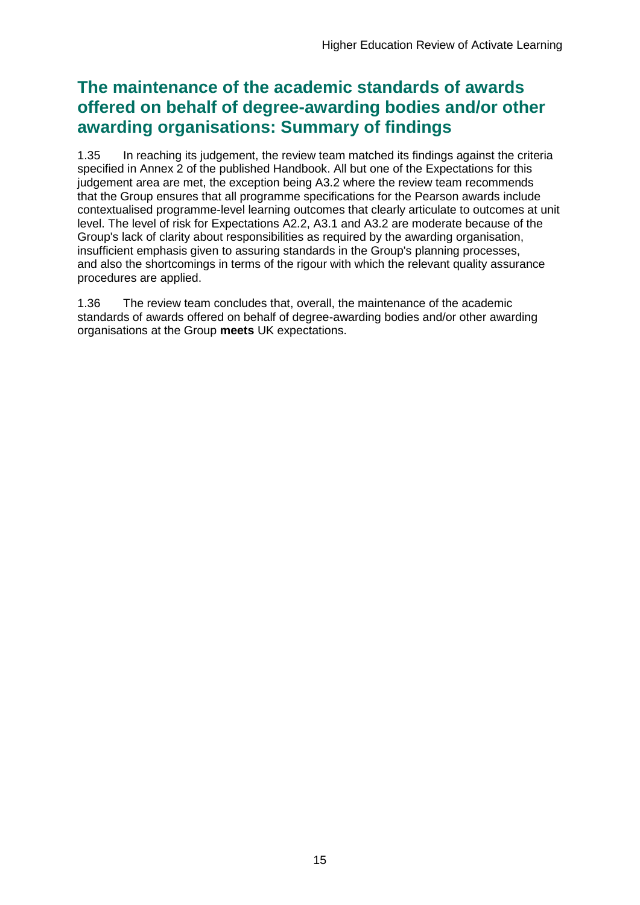# **The maintenance of the academic standards of awards offered on behalf of degree-awarding bodies and/or other awarding organisations: Summary of findings**

1.35 In reaching its judgement, the review team matched its findings against the criteria specified in Annex 2 of the published Handbook. All but one of the Expectations for this judgement area are met, the exception being A3.2 where the review team recommends that the Group ensures that all programme specifications for the Pearson awards include contextualised programme-level learning outcomes that clearly articulate to outcomes at unit level. The level of risk for Expectations A2.2, A3.1 and A3.2 are moderate because of the Group's lack of clarity about responsibilities as required by the awarding organisation, insufficient emphasis given to assuring standards in the Group's planning processes, and also the shortcomings in terms of the rigour with which the relevant quality assurance procedures are applied.

1.36 The review team concludes that, overall, the maintenance of the academic standards of awards offered on behalf of degree-awarding bodies and/or other awarding organisations at the Group **meets** UK expectations.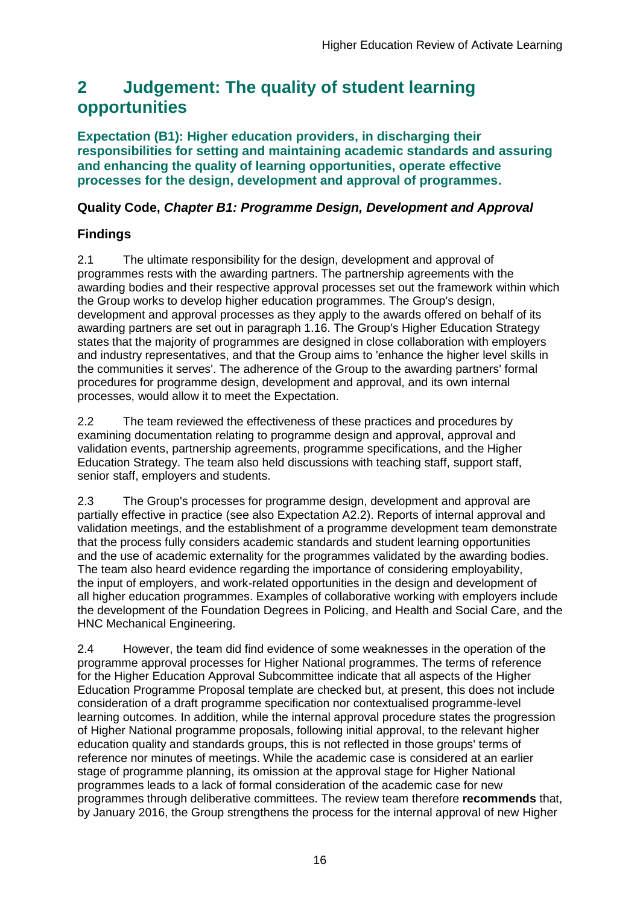# <span id="page-16-0"></span>**2 Judgement: The quality of student learning opportunities**

**Expectation (B1): Higher education providers, in discharging their responsibilities for setting and maintaining academic standards and assuring and enhancing the quality of learning opportunities, operate effective processes for the design, development and approval of programmes.**

# **Quality Code,** *Chapter B1: Programme Design, Development and Approval*

# **Findings**

2.1 The ultimate responsibility for the design, development and approval of programmes rests with the awarding partners. The partnership agreements with the awarding bodies and their respective approval processes set out the framework within which the Group works to develop higher education programmes. The Group's design, development and approval processes as they apply to the awards offered on behalf of its awarding partners are set out in paragraph 1.16. The Group's Higher Education Strategy states that the majority of programmes are designed in close collaboration with employers and industry representatives, and that the Group aims to 'enhance the higher level skills in the communities it serves'. The adherence of the Group to the awarding partners' formal procedures for programme design, development and approval, and its own internal processes, would allow it to meet the Expectation.

2.2 The team reviewed the effectiveness of these practices and procedures by examining documentation relating to programme design and approval, approval and validation events, partnership agreements, programme specifications, and the Higher Education Strategy. The team also held discussions with teaching staff, support staff, senior staff, employers and students.

2.3 The Group's processes for programme design, development and approval are partially effective in practice (see also Expectation A2.2). Reports of internal approval and validation meetings, and the establishment of a programme development team demonstrate that the process fully considers academic standards and student learning opportunities and the use of academic externality for the programmes validated by the awarding bodies. The team also heard evidence regarding the importance of considering employability, the input of employers, and work-related opportunities in the design and development of all higher education programmes. Examples of collaborative working with employers include the development of the Foundation Degrees in Policing, and Health and Social Care, and the HNC Mechanical Engineering.

2.4 However, the team did find evidence of some weaknesses in the operation of the programme approval processes for Higher National programmes. The terms of reference for the Higher Education Approval Subcommittee indicate that all aspects of the Higher Education Programme Proposal template are checked but, at present, this does not include consideration of a draft programme specification nor contextualised programme-level learning outcomes. In addition, while the internal approval procedure states the progression of Higher National programme proposals, following initial approval, to the relevant higher education quality and standards groups, this is not reflected in those groups' terms of reference nor minutes of meetings. While the academic case is considered at an earlier stage of programme planning, its omission at the approval stage for Higher National programmes leads to a lack of formal consideration of the academic case for new programmes through deliberative committees. The review team therefore **recommends** that, by January 2016, the Group strengthens the process for the internal approval of new Higher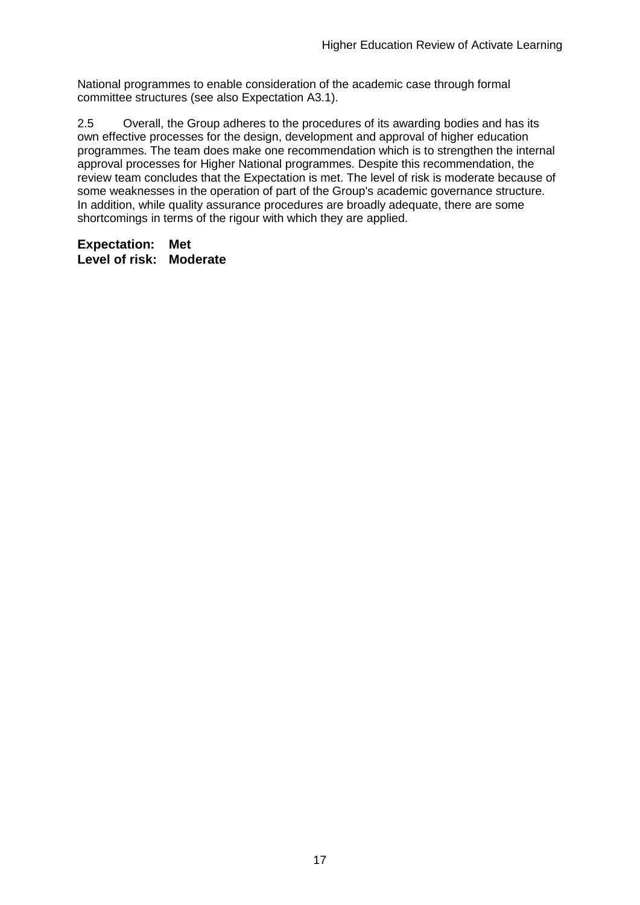National programmes to enable consideration of the academic case through formal committee structures (see also Expectation A3.1).

2.5 Overall, the Group adheres to the procedures of its awarding bodies and has its own effective processes for the design, development and approval of higher education programmes. The team does make one recommendation which is to strengthen the internal approval processes for Higher National programmes. Despite this recommendation, the review team concludes that the Expectation is met. The level of risk is moderate because of some weaknesses in the operation of part of the Group's academic governance structure. In addition, while quality assurance procedures are broadly adequate, there are some shortcomings in terms of the rigour with which they are applied.

**Expectation: Met Level of risk: Moderate**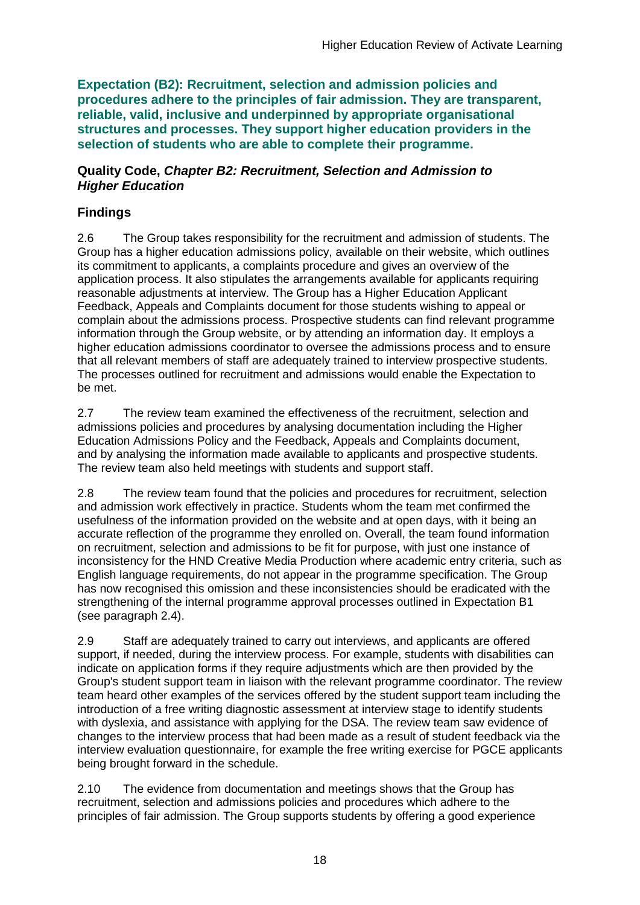**Expectation (B2): Recruitment, selection and admission policies and procedures adhere to the principles of fair admission. They are transparent, reliable, valid, inclusive and underpinned by appropriate organisational structures and processes. They support higher education providers in the selection of students who are able to complete their programme.**

#### **Quality Code,** *Chapter B2: Recruitment, Selection and Admission to Higher Education*

# **Findings**

2.6 The Group takes responsibility for the recruitment and admission of students. The Group has a higher education admissions policy, available on their website, which outlines its commitment to applicants, a complaints procedure and gives an overview of the application process. It also stipulates the arrangements available for applicants requiring reasonable adjustments at interview. The Group has a Higher Education Applicant Feedback, Appeals and Complaints document for those students wishing to appeal or complain about the admissions process. Prospective students can find relevant programme information through the Group website, or by attending an information day. It employs a higher education admissions coordinator to oversee the admissions process and to ensure that all relevant members of staff are adequately trained to interview prospective students. The processes outlined for recruitment and admissions would enable the Expectation to be met.

2.7 The review team examined the effectiveness of the recruitment, selection and admissions policies and procedures by analysing documentation including the Higher Education Admissions Policy and the Feedback, Appeals and Complaints document, and by analysing the information made available to applicants and prospective students. The review team also held meetings with students and support staff.

2.8 The review team found that the policies and procedures for recruitment, selection and admission work effectively in practice. Students whom the team met confirmed the usefulness of the information provided on the website and at open days, with it being an accurate reflection of the programme they enrolled on. Overall, the team found information on recruitment, selection and admissions to be fit for purpose, with just one instance of inconsistency for the HND Creative Media Production where academic entry criteria, such as English language requirements, do not appear in the programme specification. The Group has now recognised this omission and these inconsistencies should be eradicated with the strengthening of the internal programme approval processes outlined in Expectation B1 (see paragraph 2.4).

2.9 Staff are adequately trained to carry out interviews, and applicants are offered support, if needed, during the interview process. For example, students with disabilities can indicate on application forms if they require adjustments which are then provided by the Group's student support team in liaison with the relevant programme coordinator. The review team heard other examples of the services offered by the student support team including the introduction of a free writing diagnostic assessment at interview stage to identify students with dyslexia, and assistance with applying for the DSA. The review team saw evidence of changes to the interview process that had been made as a result of student feedback via the interview evaluation questionnaire, for example the free writing exercise for PGCE applicants being brought forward in the schedule.

2.10 The evidence from documentation and meetings shows that the Group has recruitment, selection and admissions policies and procedures which adhere to the principles of fair admission. The Group supports students by offering a good experience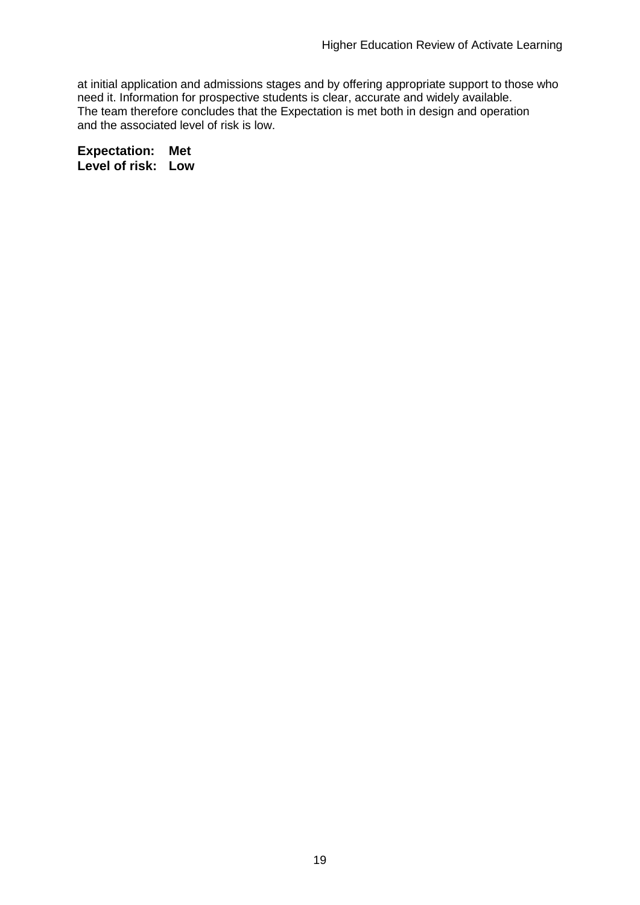at initial application and admissions stages and by offering appropriate support to those who need it. Information for prospective students is clear, accurate and widely available. The team therefore concludes that the Expectation is met both in design and operation and the associated level of risk is low.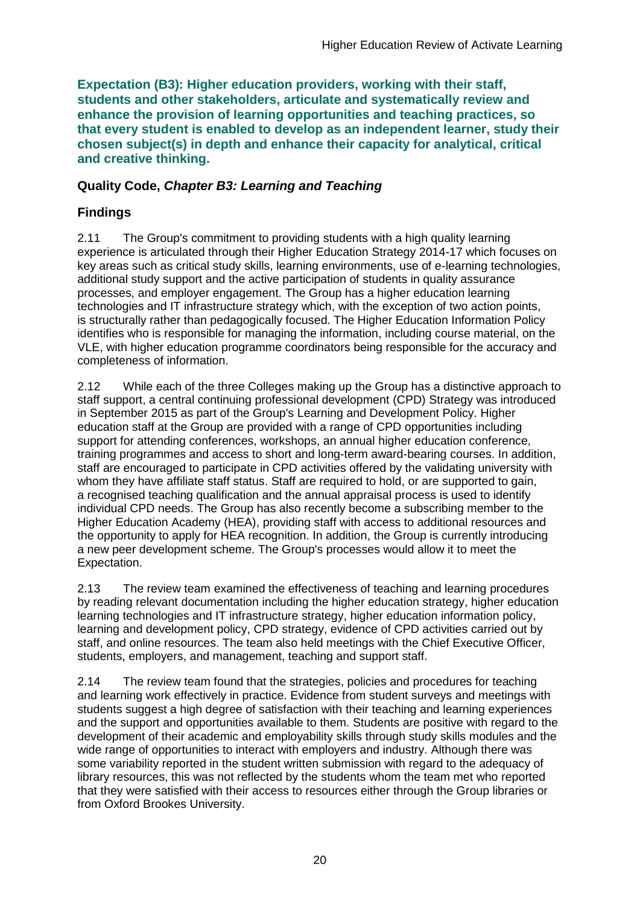**Expectation (B3): Higher education providers, working with their staff, students and other stakeholders, articulate and systematically review and enhance the provision of learning opportunities and teaching practices, so that every student is enabled to develop as an independent learner, study their chosen subject(s) in depth and enhance their capacity for analytical, critical and creative thinking.**

## **Quality Code,** *Chapter B3: Learning and Teaching*

# **Findings**

2.11 The Group's commitment to providing students with a high quality learning experience is articulated through their Higher Education Strategy 2014-17 which focuses on key areas such as critical study skills, learning environments, use of e-learning technologies, additional study support and the active participation of students in quality assurance processes, and employer engagement. The Group has a higher education learning technologies and IT infrastructure strategy which, with the exception of two action points, is structurally rather than pedagogically focused. The Higher Education Information Policy identifies who is responsible for managing the information, including course material, on the VLE, with higher education programme coordinators being responsible for the accuracy and completeness of information.

2.12 While each of the three Colleges making up the Group has a distinctive approach to staff support, a central continuing professional development (CPD) Strategy was introduced in September 2015 as part of the Group's Learning and Development Policy. Higher education staff at the Group are provided with a range of CPD opportunities including support for attending conferences, workshops, an annual higher education conference, training programmes and access to short and long-term award-bearing courses. In addition, staff are encouraged to participate in CPD activities offered by the validating university with whom they have affiliate staff status. Staff are required to hold, or are supported to gain, a recognised teaching qualification and the annual appraisal process is used to identify individual CPD needs. The Group has also recently become a subscribing member to the Higher Education Academy (HEA), providing staff with access to additional resources and the opportunity to apply for HEA recognition. In addition, the Group is currently introducing a new peer development scheme. The Group's processes would allow it to meet the Expectation.

2.13 The review team examined the effectiveness of teaching and learning procedures by reading relevant documentation including the higher education strategy, higher education learning technologies and IT infrastructure strategy, higher education information policy, learning and development policy, CPD strategy, evidence of CPD activities carried out by staff, and online resources. The team also held meetings with the Chief Executive Officer, students, employers, and management, teaching and support staff.

2.14 The review team found that the strategies, policies and procedures for teaching and learning work effectively in practice. Evidence from student surveys and meetings with students suggest a high degree of satisfaction with their teaching and learning experiences and the support and opportunities available to them. Students are positive with regard to the development of their academic and employability skills through study skills modules and the wide range of opportunities to interact with employers and industry. Although there was some variability reported in the student written submission with regard to the adequacy of library resources, this was not reflected by the students whom the team met who reported that they were satisfied with their access to resources either through the Group libraries or from Oxford Brookes University.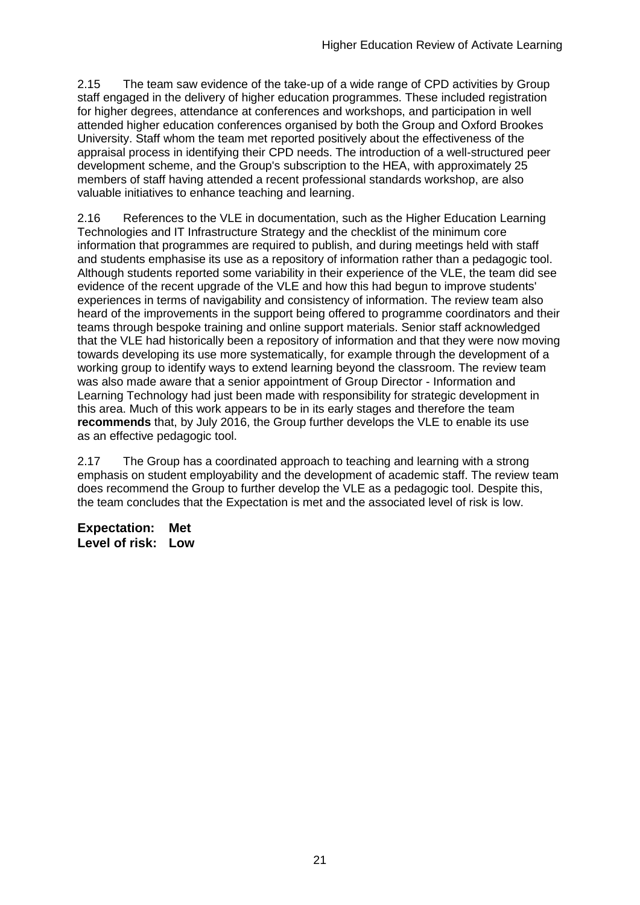2.15 The team saw evidence of the take-up of a wide range of CPD activities by Group staff engaged in the delivery of higher education programmes. These included registration for higher degrees, attendance at conferences and workshops, and participation in well attended higher education conferences organised by both the Group and Oxford Brookes University. Staff whom the team met reported positively about the effectiveness of the appraisal process in identifying their CPD needs. The introduction of a well-structured peer development scheme, and the Group's subscription to the HEA, with approximately 25 members of staff having attended a recent professional standards workshop, are also valuable initiatives to enhance teaching and learning.

2.16 References to the VLE in documentation, such as the Higher Education Learning Technologies and IT Infrastructure Strategy and the checklist of the minimum core information that programmes are required to publish, and during meetings held with staff and students emphasise its use as a repository of information rather than a pedagogic tool. Although students reported some variability in their experience of the VLE, the team did see evidence of the recent upgrade of the VLE and how this had begun to improve students' experiences in terms of navigability and consistency of information. The review team also heard of the improvements in the support being offered to programme coordinators and their teams through bespoke training and online support materials. Senior staff acknowledged that the VLE had historically been a repository of information and that they were now moving towards developing its use more systematically, for example through the development of a working group to identify ways to extend learning beyond the classroom. The review team was also made aware that a senior appointment of Group Director - Information and Learning Technology had just been made with responsibility for strategic development in this area. Much of this work appears to be in its early stages and therefore the team **recommends** that, by July 2016, the Group further develops the VLE to enable its use as an effective pedagogic tool.

2.17 The Group has a coordinated approach to teaching and learning with a strong emphasis on student employability and the development of academic staff. The review team does recommend the Group to further develop the VLE as a pedagogic tool. Despite this, the team concludes that the Expectation is met and the associated level of risk is low.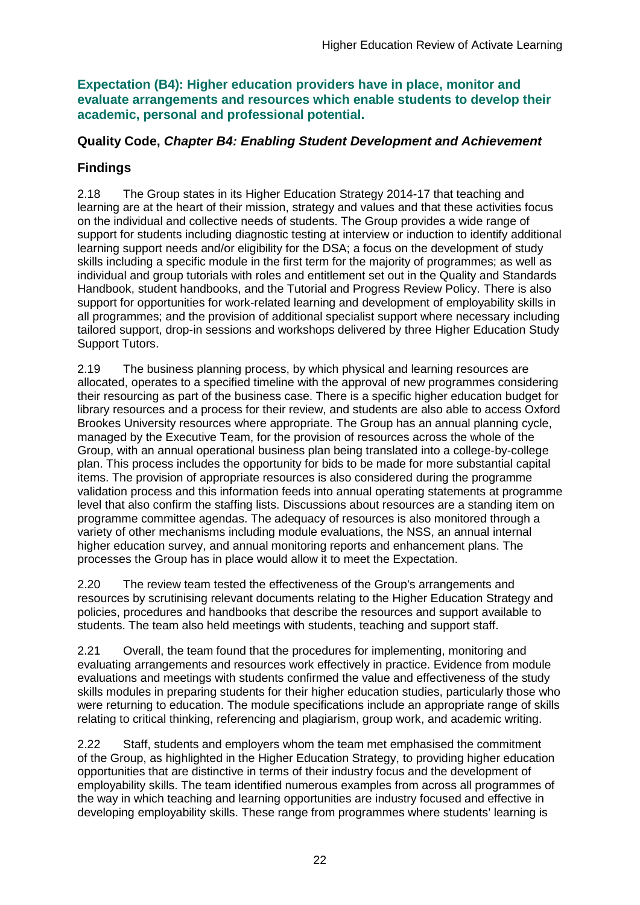**Expectation (B4): Higher education providers have in place, monitor and evaluate arrangements and resources which enable students to develop their academic, personal and professional potential.**

## **Quality Code,** *Chapter B4: Enabling Student Development and Achievement*

## **Findings**

2.18 The Group states in its Higher Education Strategy 2014-17 that teaching and learning are at the heart of their mission, strategy and values and that these activities focus on the individual and collective needs of students. The Group provides a wide range of support for students including diagnostic testing at interview or induction to identify additional learning support needs and/or eligibility for the DSA; a focus on the development of study skills including a specific module in the first term for the majority of programmes; as well as individual and group tutorials with roles and entitlement set out in the Quality and Standards Handbook, student handbooks, and the Tutorial and Progress Review Policy. There is also support for opportunities for work-related learning and development of employability skills in all programmes; and the provision of additional specialist support where necessary including tailored support, drop-in sessions and workshops delivered by three Higher Education Study Support Tutors.

2.19 The business planning process, by which physical and learning resources are allocated, operates to a specified timeline with the approval of new programmes considering their resourcing as part of the business case. There is a specific higher education budget for library resources and a process for their review, and students are also able to access Oxford Brookes University resources where appropriate. The Group has an annual planning cycle, managed by the Executive Team, for the provision of resources across the whole of the Group, with an annual operational business plan being translated into a college-by-college plan. This process includes the opportunity for bids to be made for more substantial capital items. The provision of appropriate resources is also considered during the programme validation process and this information feeds into annual operating statements at programme level that also confirm the staffing lists. Discussions about resources are a standing item on programme committee agendas. The adequacy of resources is also monitored through a variety of other mechanisms including module evaluations, the NSS, an annual internal higher education survey, and annual monitoring reports and enhancement plans. The processes the Group has in place would allow it to meet the Expectation.

2.20 The review team tested the effectiveness of the Group's arrangements and resources by scrutinising relevant documents relating to the Higher Education Strategy and policies, procedures and handbooks that describe the resources and support available to students. The team also held meetings with students, teaching and support staff.

2.21 Overall, the team found that the procedures for implementing, monitoring and evaluating arrangements and resources work effectively in practice. Evidence from module evaluations and meetings with students confirmed the value and effectiveness of the study skills modules in preparing students for their higher education studies, particularly those who were returning to education. The module specifications include an appropriate range of skills relating to critical thinking, referencing and plagiarism, group work, and academic writing.

2.22 Staff, students and employers whom the team met emphasised the commitment of the Group, as highlighted in the Higher Education Strategy, to providing higher education opportunities that are distinctive in terms of their industry focus and the development of employability skills. The team identified numerous examples from across all programmes of the way in which teaching and learning opportunities are industry focused and effective in developing employability skills. These range from programmes where students' learning is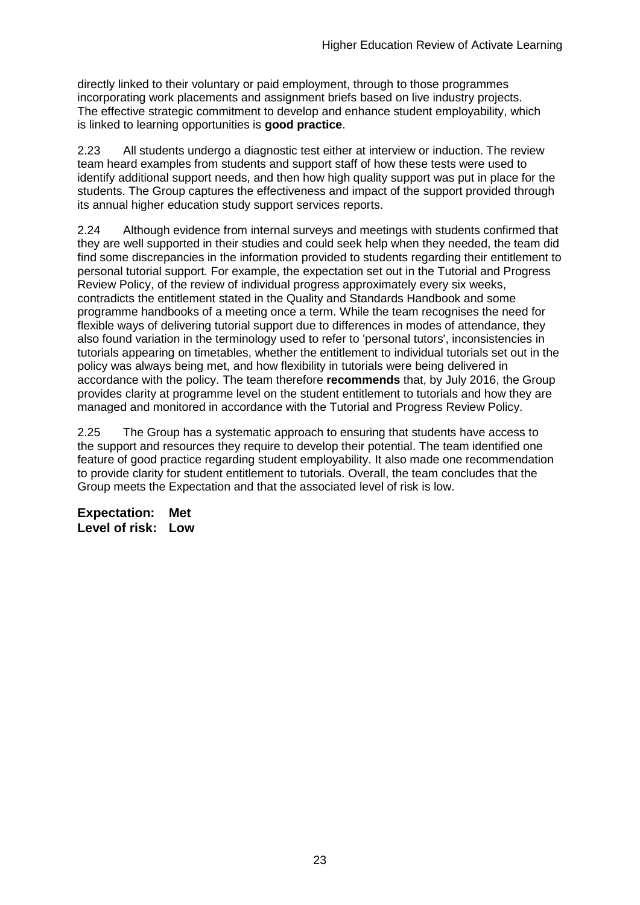directly linked to their voluntary or paid employment, through to those programmes incorporating work placements and assignment briefs based on live industry projects. The effective strategic commitment to develop and enhance student employability, which is linked to learning opportunities is **good practice**.

2.23 All students undergo a diagnostic test either at interview or induction. The review team heard examples from students and support staff of how these tests were used to identify additional support needs, and then how high quality support was put in place for the students. The Group captures the effectiveness and impact of the support provided through its annual higher education study support services reports.

2.24 Although evidence from internal surveys and meetings with students confirmed that they are well supported in their studies and could seek help when they needed, the team did find some discrepancies in the information provided to students regarding their entitlement to personal tutorial support. For example, the expectation set out in the Tutorial and Progress Review Policy, of the review of individual progress approximately every six weeks, contradicts the entitlement stated in the Quality and Standards Handbook and some programme handbooks of a meeting once a term. While the team recognises the need for flexible ways of delivering tutorial support due to differences in modes of attendance, they also found variation in the terminology used to refer to 'personal tutors', inconsistencies in tutorials appearing on timetables, whether the entitlement to individual tutorials set out in the policy was always being met, and how flexibility in tutorials were being delivered in accordance with the policy. The team therefore **recommends** that, by July 2016, the Group provides clarity at programme level on the student entitlement to tutorials and how they are managed and monitored in accordance with the Tutorial and Progress Review Policy.

2.25 The Group has a systematic approach to ensuring that students have access to the support and resources they require to develop their potential. The team identified one feature of good practice regarding student employability. It also made one recommendation to provide clarity for student entitlement to tutorials. Overall, the team concludes that the Group meets the Expectation and that the associated level of risk is low.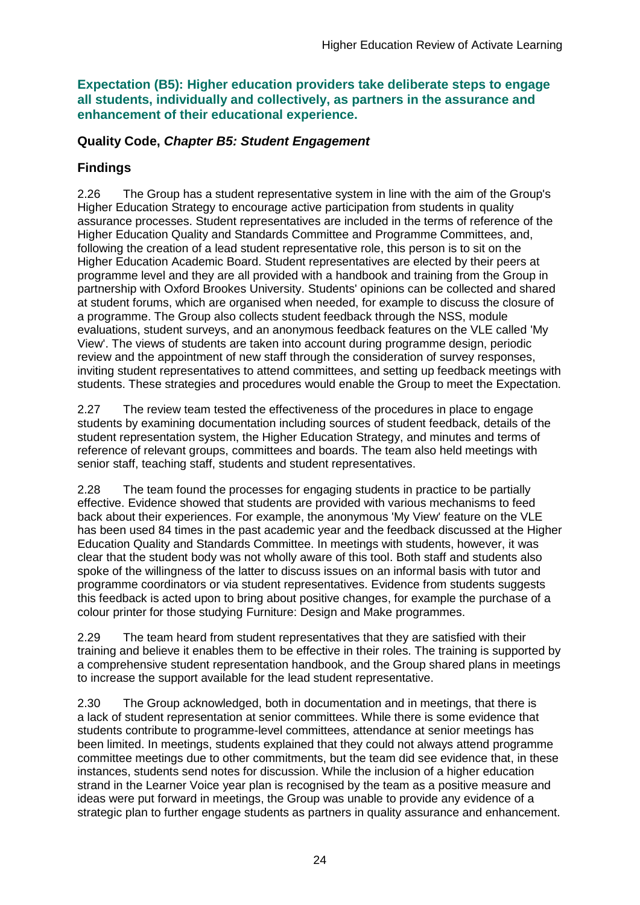**Expectation (B5): Higher education providers take deliberate steps to engage all students, individually and collectively, as partners in the assurance and enhancement of their educational experience.**

## **Quality Code,** *Chapter B5: Student Engagement*

# **Findings**

2.26 The Group has a student representative system in line with the aim of the Group's Higher Education Strategy to encourage active participation from students in quality assurance processes. Student representatives are included in the terms of reference of the Higher Education Quality and Standards Committee and Programme Committees, and, following the creation of a lead student representative role, this person is to sit on the Higher Education Academic Board. Student representatives are elected by their peers at programme level and they are all provided with a handbook and training from the Group in partnership with Oxford Brookes University. Students' opinions can be collected and shared at student forums, which are organised when needed, for example to discuss the closure of a programme. The Group also collects student feedback through the NSS, module evaluations, student surveys, and an anonymous feedback features on the VLE called 'My View'. The views of students are taken into account during programme design, periodic review and the appointment of new staff through the consideration of survey responses, inviting student representatives to attend committees, and setting up feedback meetings with students. These strategies and procedures would enable the Group to meet the Expectation.

2.27 The review team tested the effectiveness of the procedures in place to engage students by examining documentation including sources of student feedback, details of the student representation system, the Higher Education Strategy, and minutes and terms of reference of relevant groups, committees and boards. The team also held meetings with senior staff, teaching staff, students and student representatives.

2.28 The team found the processes for engaging students in practice to be partially effective. Evidence showed that students are provided with various mechanisms to feed back about their experiences. For example, the anonymous 'My View' feature on the VLE has been used 84 times in the past academic year and the feedback discussed at the Higher Education Quality and Standards Committee. In meetings with students, however, it was clear that the student body was not wholly aware of this tool. Both staff and students also spoke of the willingness of the latter to discuss issues on an informal basis with tutor and programme coordinators or via student representatives. Evidence from students suggests this feedback is acted upon to bring about positive changes, for example the purchase of a colour printer for those studying Furniture: Design and Make programmes.

2.29 The team heard from student representatives that they are satisfied with their training and believe it enables them to be effective in their roles. The training is supported by a comprehensive student representation handbook, and the Group shared plans in meetings to increase the support available for the lead student representative.

2.30 The Group acknowledged, both in documentation and in meetings, that there is a lack of student representation at senior committees. While there is some evidence that students contribute to programme-level committees, attendance at senior meetings has been limited. In meetings, students explained that they could not always attend programme committee meetings due to other commitments, but the team did see evidence that, in these instances, students send notes for discussion. While the inclusion of a higher education strand in the Learner Voice year plan is recognised by the team as a positive measure and ideas were put forward in meetings, the Group was unable to provide any evidence of a strategic plan to further engage students as partners in quality assurance and enhancement.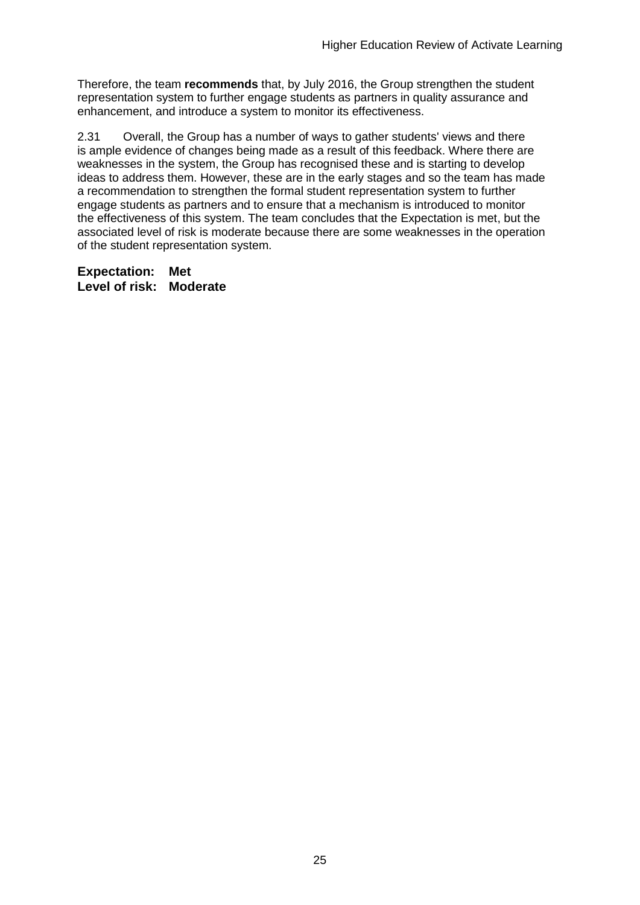Therefore, the team **recommends** that, by July 2016, the Group strengthen the student representation system to further engage students as partners in quality assurance and enhancement, and introduce a system to monitor its effectiveness.

2.31 Overall, the Group has a number of ways to gather students' views and there is ample evidence of changes being made as a result of this feedback. Where there are weaknesses in the system, the Group has recognised these and is starting to develop ideas to address them. However, these are in the early stages and so the team has made a recommendation to strengthen the formal student representation system to further engage students as partners and to ensure that a mechanism is introduced to monitor the effectiveness of this system. The team concludes that the Expectation is met, but the associated level of risk is moderate because there are some weaknesses in the operation of the student representation system.

**Expectation: Met Level of risk: Moderate**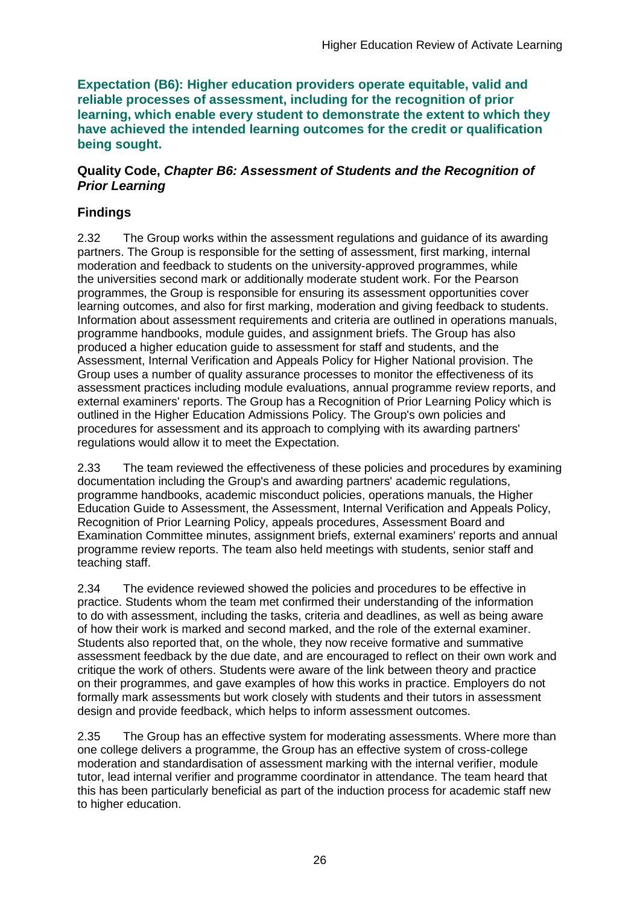**Expectation (B6): Higher education providers operate equitable, valid and reliable processes of assessment, including for the recognition of prior learning, which enable every student to demonstrate the extent to which they have achieved the intended learning outcomes for the credit or qualification being sought.**

#### **Quality Code,** *Chapter B6: Assessment of Students and the Recognition of Prior Learning*

# **Findings**

2.32 The Group works within the assessment regulations and guidance of its awarding partners. The Group is responsible for the setting of assessment, first marking, internal moderation and feedback to students on the university-approved programmes, while the universities second mark or additionally moderate student work. For the Pearson programmes, the Group is responsible for ensuring its assessment opportunities cover learning outcomes, and also for first marking, moderation and giving feedback to students. Information about assessment requirements and criteria are outlined in operations manuals, programme handbooks, module guides, and assignment briefs. The Group has also produced a higher education guide to assessment for staff and students, and the Assessment, Internal Verification and Appeals Policy for Higher National provision. The Group uses a number of quality assurance processes to monitor the effectiveness of its assessment practices including module evaluations, annual programme review reports, and external examiners' reports. The Group has a Recognition of Prior Learning Policy which is outlined in the Higher Education Admissions Policy. The Group's own policies and procedures for assessment and its approach to complying with its awarding partners' regulations would allow it to meet the Expectation.

2.33 The team reviewed the effectiveness of these policies and procedures by examining documentation including the Group's and awarding partners' academic regulations, programme handbooks, academic misconduct policies, operations manuals, the Higher Education Guide to Assessment, the Assessment, Internal Verification and Appeals Policy, Recognition of Prior Learning Policy, appeals procedures, Assessment Board and Examination Committee minutes, assignment briefs, external examiners' reports and annual programme review reports. The team also held meetings with students, senior staff and teaching staff.

2.34 The evidence reviewed showed the policies and procedures to be effective in practice. Students whom the team met confirmed their understanding of the information to do with assessment, including the tasks, criteria and deadlines, as well as being aware of how their work is marked and second marked, and the role of the external examiner. Students also reported that, on the whole, they now receive formative and summative assessment feedback by the due date, and are encouraged to reflect on their own work and critique the work of others. Students were aware of the link between theory and practice on their programmes, and gave examples of how this works in practice. Employers do not formally mark assessments but work closely with students and their tutors in assessment design and provide feedback, which helps to inform assessment outcomes.

2.35 The Group has an effective system for moderating assessments. Where more than one college delivers a programme, the Group has an effective system of cross-college moderation and standardisation of assessment marking with the internal verifier, module tutor, lead internal verifier and programme coordinator in attendance. The team heard that this has been particularly beneficial as part of the induction process for academic staff new to higher education.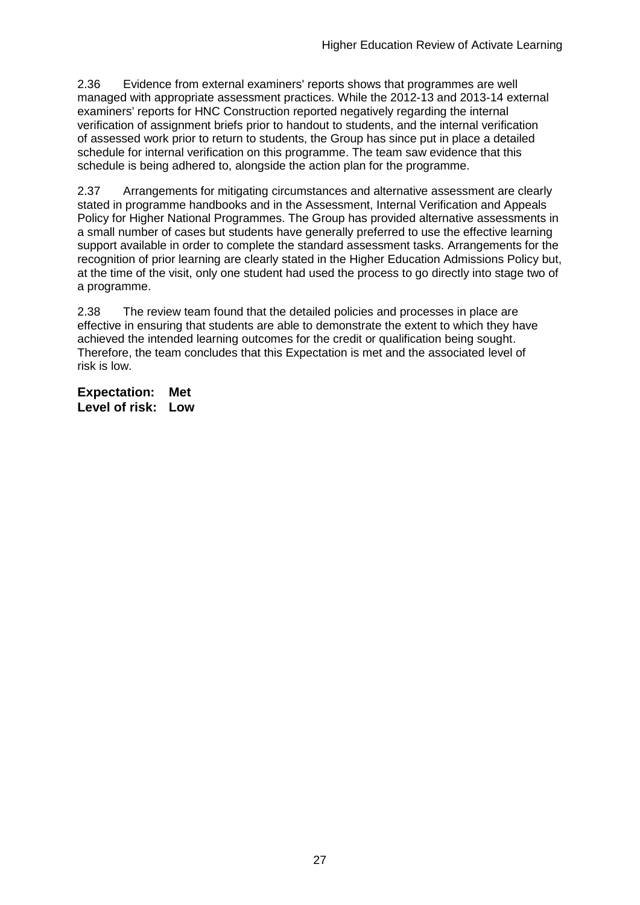2.36 Evidence from external examiners' reports shows that programmes are well managed with appropriate assessment practices. While the 2012-13 and 2013-14 external examiners' reports for HNC Construction reported negatively regarding the internal verification of assignment briefs prior to handout to students, and the internal verification of assessed work prior to return to students, the Group has since put in place a detailed schedule for internal verification on this programme. The team saw evidence that this schedule is being adhered to, alongside the action plan for the programme.

2.37 Arrangements for mitigating circumstances and alternative assessment are clearly stated in programme handbooks and in the Assessment, Internal Verification and Appeals Policy for Higher National Programmes. The Group has provided alternative assessments in a small number of cases but students have generally preferred to use the effective learning support available in order to complete the standard assessment tasks. Arrangements for the recognition of prior learning are clearly stated in the Higher Education Admissions Policy but, at the time of the visit, only one student had used the process to go directly into stage two of a programme.

2.38 The review team found that the detailed policies and processes in place are effective in ensuring that students are able to demonstrate the extent to which they have achieved the intended learning outcomes for the credit or qualification being sought. Therefore, the team concludes that this Expectation is met and the associated level of risk is low.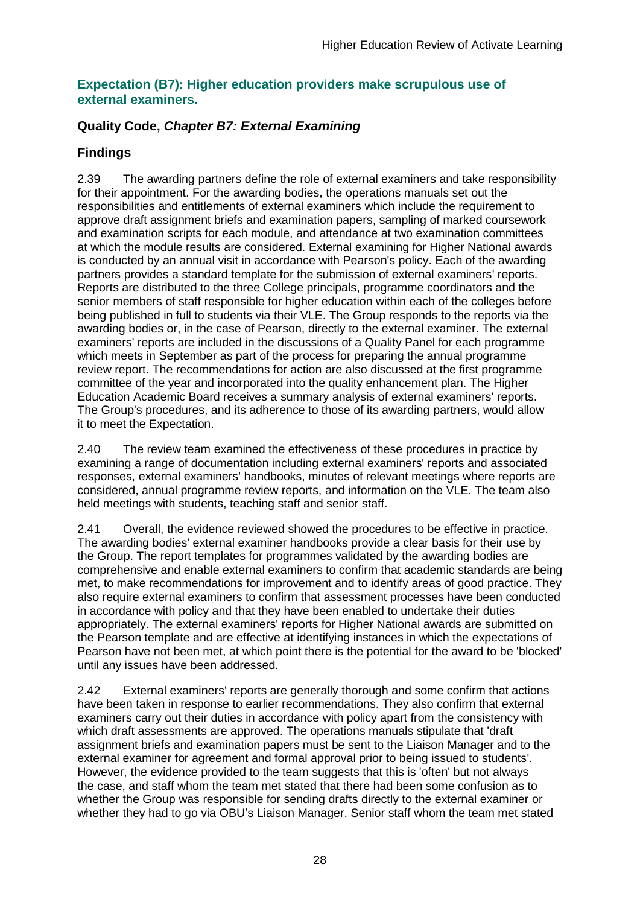#### **Expectation (B7): Higher education providers make scrupulous use of external examiners.**

## **Quality Code,** *Chapter B7: External Examining*

## **Findings**

2.39 The awarding partners define the role of external examiners and take responsibility for their appointment. For the awarding bodies, the operations manuals set out the responsibilities and entitlements of external examiners which include the requirement to approve draft assignment briefs and examination papers, sampling of marked coursework and examination scripts for each module, and attendance at two examination committees at which the module results are considered. External examining for Higher National awards is conducted by an annual visit in accordance with Pearson's policy. Each of the awarding partners provides a standard template for the submission of external examiners' reports. Reports are distributed to the three College principals, programme coordinators and the senior members of staff responsible for higher education within each of the colleges before being published in full to students via their VLE. The Group responds to the reports via the awarding bodies or, in the case of Pearson, directly to the external examiner. The external examiners' reports are included in the discussions of a Quality Panel for each programme which meets in September as part of the process for preparing the annual programme review report. The recommendations for action are also discussed at the first programme committee of the year and incorporated into the quality enhancement plan. The Higher Education Academic Board receives a summary analysis of external examiners' reports. The Group's procedures, and its adherence to those of its awarding partners, would allow it to meet the Expectation.

2.40 The review team examined the effectiveness of these procedures in practice by examining a range of documentation including external examiners' reports and associated responses, external examiners' handbooks, minutes of relevant meetings where reports are considered, annual programme review reports, and information on the VLE. The team also held meetings with students, teaching staff and senior staff.

2.41 Overall, the evidence reviewed showed the procedures to be effective in practice. The awarding bodies' external examiner handbooks provide a clear basis for their use by the Group. The report templates for programmes validated by the awarding bodies are comprehensive and enable external examiners to confirm that academic standards are being met, to make recommendations for improvement and to identify areas of good practice. They also require external examiners to confirm that assessment processes have been conducted in accordance with policy and that they have been enabled to undertake their duties appropriately. The external examiners' reports for Higher National awards are submitted on the Pearson template and are effective at identifying instances in which the expectations of Pearson have not been met, at which point there is the potential for the award to be 'blocked' until any issues have been addressed.

2.42 External examiners' reports are generally thorough and some confirm that actions have been taken in response to earlier recommendations. They also confirm that external examiners carry out their duties in accordance with policy apart from the consistency with which draft assessments are approved. The operations manuals stipulate that 'draft assignment briefs and examination papers must be sent to the Liaison Manager and to the external examiner for agreement and formal approval prior to being issued to students'. However, the evidence provided to the team suggests that this is 'often' but not always the case, and staff whom the team met stated that there had been some confusion as to whether the Group was responsible for sending drafts directly to the external examiner or whether they had to go via OBU's Liaison Manager. Senior staff whom the team met stated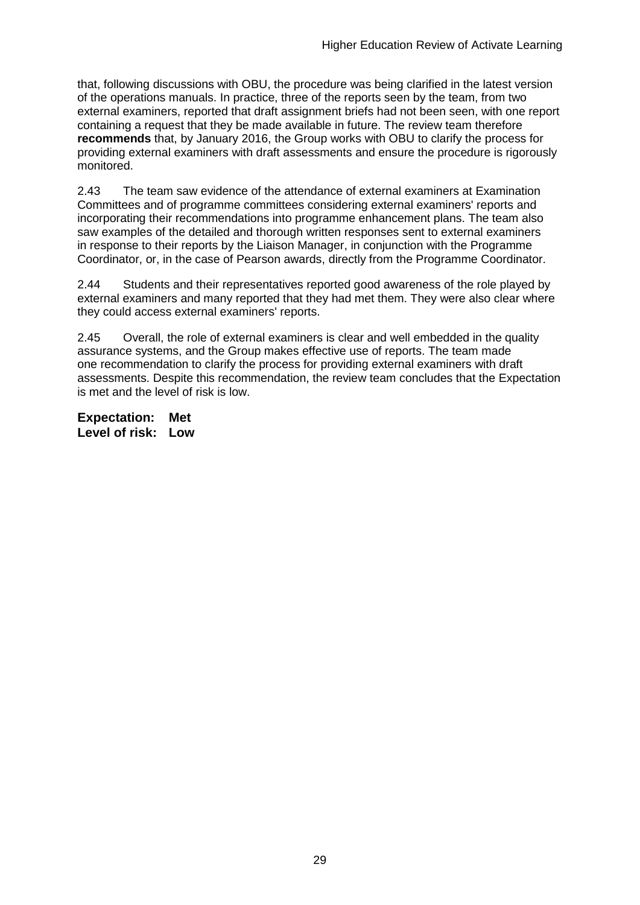that, following discussions with OBU, the procedure was being clarified in the latest version of the operations manuals. In practice, three of the reports seen by the team, from two external examiners, reported that draft assignment briefs had not been seen, with one report containing a request that they be made available in future. The review team therefore **recommends** that, by January 2016, the Group works with OBU to clarify the process for providing external examiners with draft assessments and ensure the procedure is rigorously monitored.

2.43 The team saw evidence of the attendance of external examiners at Examination Committees and of programme committees considering external examiners' reports and incorporating their recommendations into programme enhancement plans. The team also saw examples of the detailed and thorough written responses sent to external examiners in response to their reports by the Liaison Manager, in conjunction with the Programme Coordinator, or, in the case of Pearson awards, directly from the Programme Coordinator.

2.44 Students and their representatives reported good awareness of the role played by external examiners and many reported that they had met them. They were also clear where they could access external examiners' reports.

2.45 Overall, the role of external examiners is clear and well embedded in the quality assurance systems, and the Group makes effective use of reports. The team made one recommendation to clarify the process for providing external examiners with draft assessments. Despite this recommendation, the review team concludes that the Expectation is met and the level of risk is low.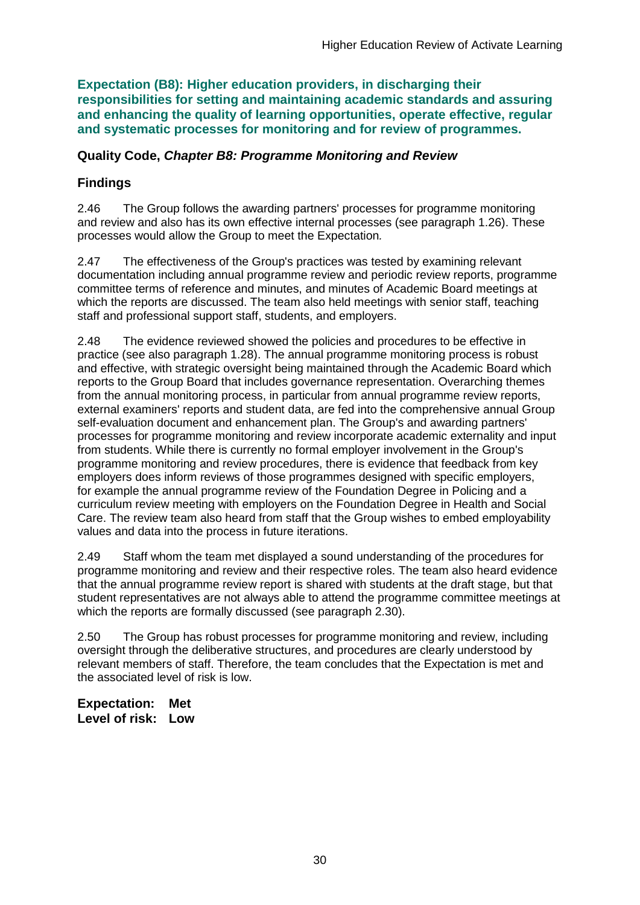**Expectation (B8): Higher education providers, in discharging their responsibilities for setting and maintaining academic standards and assuring and enhancing the quality of learning opportunities, operate effective, regular and systematic processes for monitoring and for review of programmes.**

## **Quality Code,** *Chapter B8: Programme Monitoring and Review*

# **Findings**

2.46 The Group follows the awarding partners' processes for programme monitoring and review and also has its own effective internal processes (see paragraph 1.26). These processes would allow the Group to meet the Expectation*.*

2.47 The effectiveness of the Group's practices was tested by examining relevant documentation including annual programme review and periodic review reports, programme committee terms of reference and minutes, and minutes of Academic Board meetings at which the reports are discussed. The team also held meetings with senior staff, teaching staff and professional support staff, students, and employers.

2.48 The evidence reviewed showed the policies and procedures to be effective in practice (see also paragraph 1.28). The annual programme monitoring process is robust and effective, with strategic oversight being maintained through the Academic Board which reports to the Group Board that includes governance representation. Overarching themes from the annual monitoring process, in particular from annual programme review reports, external examiners' reports and student data, are fed into the comprehensive annual Group self-evaluation document and enhancement plan. The Group's and awarding partners' processes for programme monitoring and review incorporate academic externality and input from students. While there is currently no formal employer involvement in the Group's programme monitoring and review procedures, there is evidence that feedback from key employers does inform reviews of those programmes designed with specific employers, for example the annual programme review of the Foundation Degree in Policing and a curriculum review meeting with employers on the Foundation Degree in Health and Social Care. The review team also heard from staff that the Group wishes to embed employability values and data into the process in future iterations.

2.49 Staff whom the team met displayed a sound understanding of the procedures for programme monitoring and review and their respective roles. The team also heard evidence that the annual programme review report is shared with students at the draft stage, but that student representatives are not always able to attend the programme committee meetings at which the reports are formally discussed (see paragraph 2.30).

2.50 The Group has robust processes for programme monitoring and review, including oversight through the deliberative structures, and procedures are clearly understood by relevant members of staff. Therefore, the team concludes that the Expectation is met and the associated level of risk is low.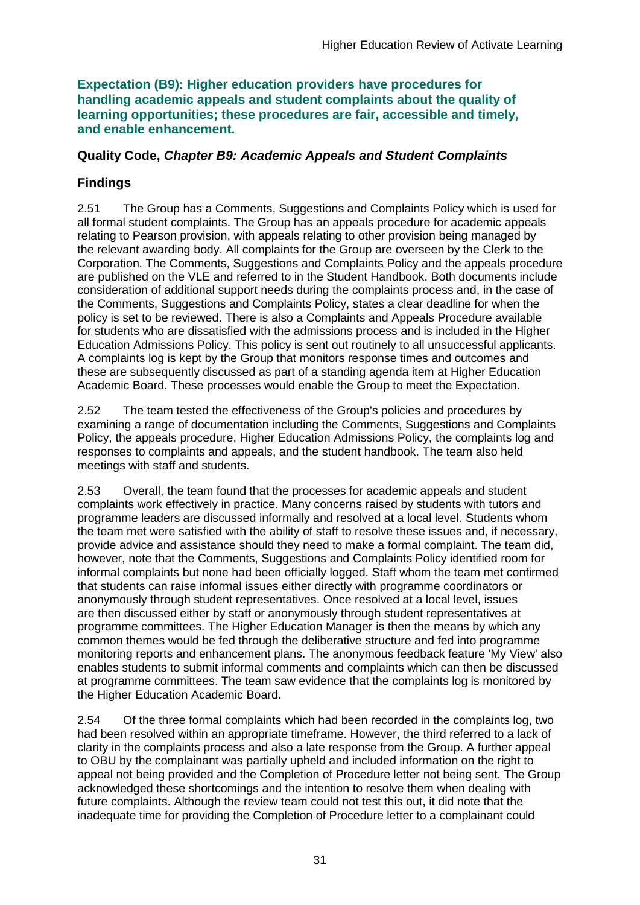**Expectation (B9): Higher education providers have procedures for handling academic appeals and student complaints about the quality of learning opportunities; these procedures are fair, accessible and timely, and enable enhancement.** 

## **Quality Code,** *Chapter B9: Academic Appeals and Student Complaints*

# **Findings**

2.51 The Group has a Comments, Suggestions and Complaints Policy which is used for all formal student complaints. The Group has an appeals procedure for academic appeals relating to Pearson provision, with appeals relating to other provision being managed by the relevant awarding body. All complaints for the Group are overseen by the Clerk to the Corporation. The Comments, Suggestions and Complaints Policy and the appeals procedure are published on the VLE and referred to in the Student Handbook. Both documents include consideration of additional support needs during the complaints process and, in the case of the Comments, Suggestions and Complaints Policy, states a clear deadline for when the policy is set to be reviewed. There is also a Complaints and Appeals Procedure available for students who are dissatisfied with the admissions process and is included in the Higher Education Admissions Policy. This policy is sent out routinely to all unsuccessful applicants. A complaints log is kept by the Group that monitors response times and outcomes and these are subsequently discussed as part of a standing agenda item at Higher Education Academic Board. These processes would enable the Group to meet the Expectation.

2.52 The team tested the effectiveness of the Group's policies and procedures by examining a range of documentation including the Comments, Suggestions and Complaints Policy, the appeals procedure, Higher Education Admissions Policy, the complaints log and responses to complaints and appeals, and the student handbook. The team also held meetings with staff and students.

2.53 Overall, the team found that the processes for academic appeals and student complaints work effectively in practice. Many concerns raised by students with tutors and programme leaders are discussed informally and resolved at a local level. Students whom the team met were satisfied with the ability of staff to resolve these issues and, if necessary, provide advice and assistance should they need to make a formal complaint. The team did, however, note that the Comments, Suggestions and Complaints Policy identified room for informal complaints but none had been officially logged. Staff whom the team met confirmed that students can raise informal issues either directly with programme coordinators or anonymously through student representatives. Once resolved at a local level, issues are then discussed either by staff or anonymously through student representatives at programme committees. The Higher Education Manager is then the means by which any common themes would be fed through the deliberative structure and fed into programme monitoring reports and enhancement plans. The anonymous feedback feature 'My View' also enables students to submit informal comments and complaints which can then be discussed at programme committees. The team saw evidence that the complaints log is monitored by the Higher Education Academic Board.

2.54 Of the three formal complaints which had been recorded in the complaints log, two had been resolved within an appropriate timeframe. However, the third referred to a lack of clarity in the complaints process and also a late response from the Group. A further appeal to OBU by the complainant was partially upheld and included information on the right to appeal not being provided and the Completion of Procedure letter not being sent. The Group acknowledged these shortcomings and the intention to resolve them when dealing with future complaints. Although the review team could not test this out, it did note that the inadequate time for providing the Completion of Procedure letter to a complainant could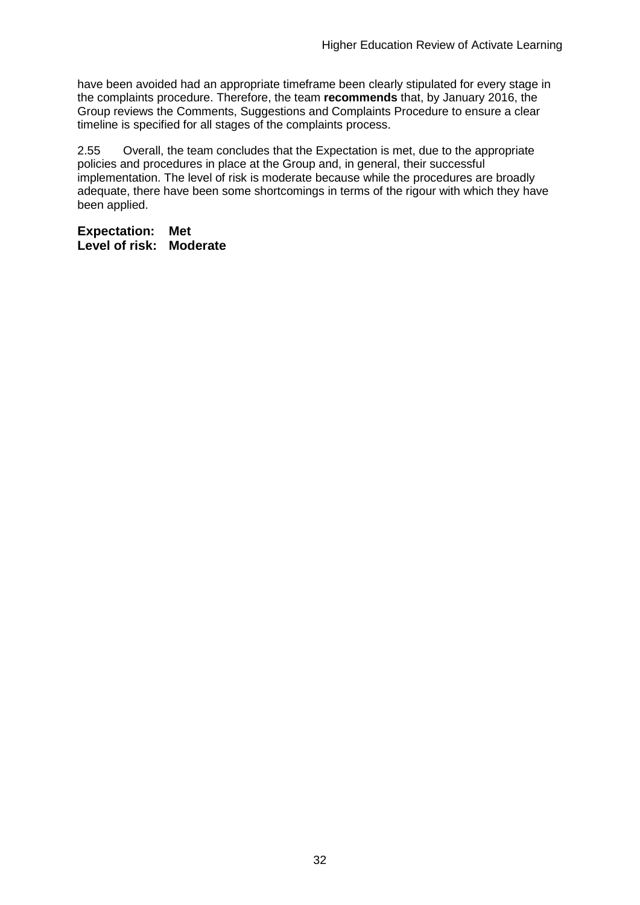have been avoided had an appropriate timeframe been clearly stipulated for every stage in the complaints procedure. Therefore, the team **recommends** that, by January 2016, the Group reviews the Comments, Suggestions and Complaints Procedure to ensure a clear timeline is specified for all stages of the complaints process.

2.55 Overall, the team concludes that the Expectation is met, due to the appropriate policies and procedures in place at the Group and, in general, their successful implementation. The level of risk is moderate because while the procedures are broadly adequate, there have been some shortcomings in terms of the rigour with which they have been applied.

**Expectation: Met Level of risk: Moderate**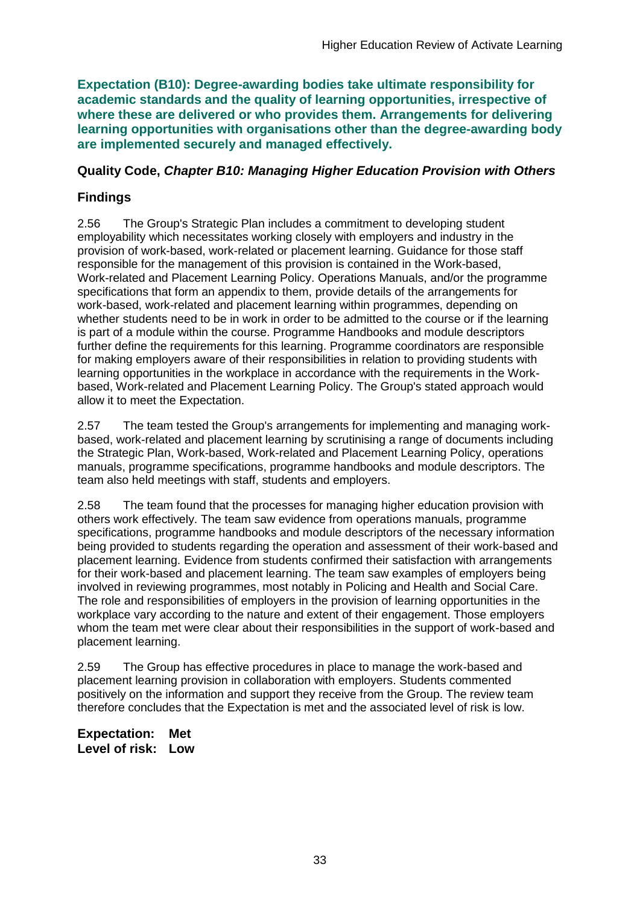**Expectation (B10): Degree-awarding bodies take ultimate responsibility for academic standards and the quality of learning opportunities, irrespective of where these are delivered or who provides them. Arrangements for delivering learning opportunities with organisations other than the degree-awarding body are implemented securely and managed effectively.**

## **Quality Code,** *Chapter B10: Managing Higher Education Provision with Others*

# **Findings**

2.56 The Group's Strategic Plan includes a commitment to developing student employability which necessitates working closely with employers and industry in the provision of work-based, work-related or placement learning. Guidance for those staff responsible for the management of this provision is contained in the Work-based, Work-related and Placement Learning Policy. Operations Manuals, and/or the programme specifications that form an appendix to them, provide details of the arrangements for work-based, work-related and placement learning within programmes, depending on whether students need to be in work in order to be admitted to the course or if the learning is part of a module within the course. Programme Handbooks and module descriptors further define the requirements for this learning. Programme coordinators are responsible for making employers aware of their responsibilities in relation to providing students with learning opportunities in the workplace in accordance with the requirements in the Workbased, Work-related and Placement Learning Policy. The Group's stated approach would allow it to meet the Expectation.

2.57 The team tested the Group's arrangements for implementing and managing workbased, work-related and placement learning by scrutinising a range of documents including the Strategic Plan, Work-based, Work-related and Placement Learning Policy, operations manuals, programme specifications, programme handbooks and module descriptors. The team also held meetings with staff, students and employers.

2.58 The team found that the processes for managing higher education provision with others work effectively. The team saw evidence from operations manuals, programme specifications, programme handbooks and module descriptors of the necessary information being provided to students regarding the operation and assessment of their work-based and placement learning. Evidence from students confirmed their satisfaction with arrangements for their work-based and placement learning. The team saw examples of employers being involved in reviewing programmes, most notably in Policing and Health and Social Care. The role and responsibilities of employers in the provision of learning opportunities in the workplace vary according to the nature and extent of their engagement. Those employers whom the team met were clear about their responsibilities in the support of work-based and placement learning.

2.59 The Group has effective procedures in place to manage the work-based and placement learning provision in collaboration with employers. Students commented positively on the information and support they receive from the Group. The review team therefore concludes that the Expectation is met and the associated level of risk is low.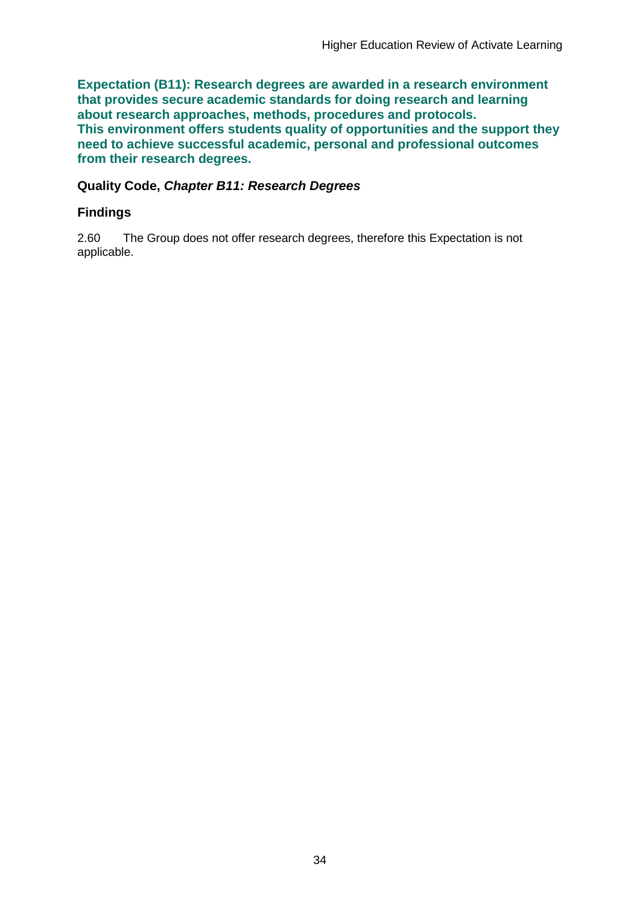**Expectation (B11): Research degrees are awarded in a research environment that provides secure academic standards for doing research and learning about research approaches, methods, procedures and protocols. This environment offers students quality of opportunities and the support they need to achieve successful academic, personal and professional outcomes from their research degrees.**

#### **Quality Code,** *Chapter B11: Research Degrees*

## **Findings**

2.60 The Group does not offer research degrees, therefore this Expectation is not applicable.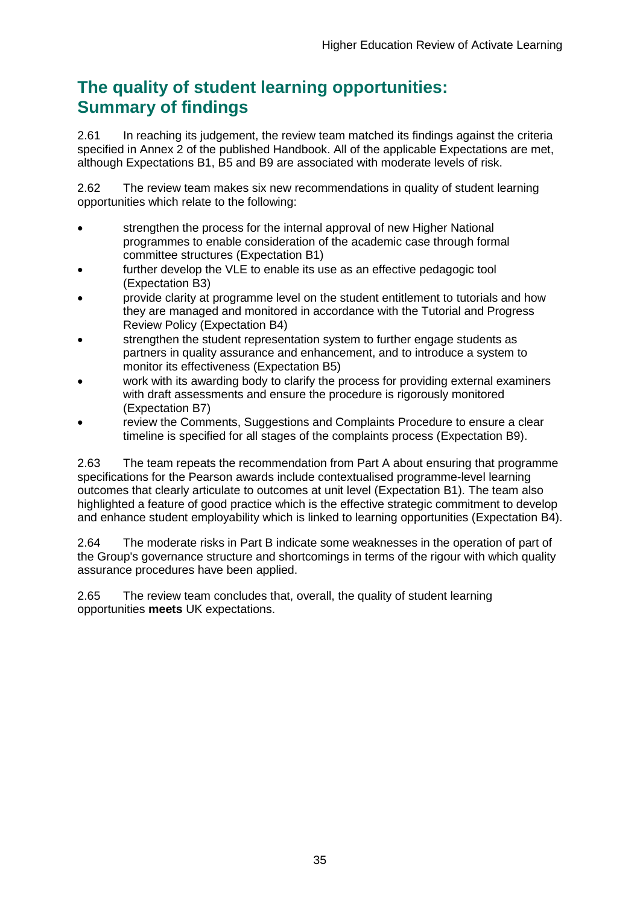# **The quality of student learning opportunities: Summary of findings**

2.61 In reaching its judgement, the review team matched its findings against the criteria specified in Annex 2 of the published Handbook. All of the applicable Expectations are met, although Expectations B1, B5 and B9 are associated with moderate levels of risk.

2.62 The review team makes six new recommendations in quality of student learning opportunities which relate to the following:

- strengthen the process for the internal approval of new Higher National programmes to enable consideration of the academic case through formal committee structures (Expectation B1)
- further develop the VLE to enable its use as an effective pedagogic tool (Expectation B3)
- provide clarity at programme level on the student entitlement to tutorials and how they are managed and monitored in accordance with the Tutorial and Progress Review Policy (Expectation B4)
- strengthen the student representation system to further engage students as partners in quality assurance and enhancement, and to introduce a system to monitor its effectiveness (Expectation B5)
- work with its awarding body to clarify the process for providing external examiners with draft assessments and ensure the procedure is rigorously monitored (Expectation B7)
- review the Comments, Suggestions and Complaints Procedure to ensure a clear timeline is specified for all stages of the complaints process (Expectation B9).

2.63 The team repeats the recommendation from Part A about ensuring that programme specifications for the Pearson awards include contextualised programme-level learning outcomes that clearly articulate to outcomes at unit level (Expectation B1). The team also highlighted a feature of good practice which is the effective strategic commitment to develop and enhance student employability which is linked to learning opportunities (Expectation B4).

2.64 The moderate risks in Part B indicate some weaknesses in the operation of part of the Group's governance structure and shortcomings in terms of the rigour with which quality assurance procedures have been applied.

2.65 The review team concludes that, overall, the quality of student learning opportunities **meets** UK expectations.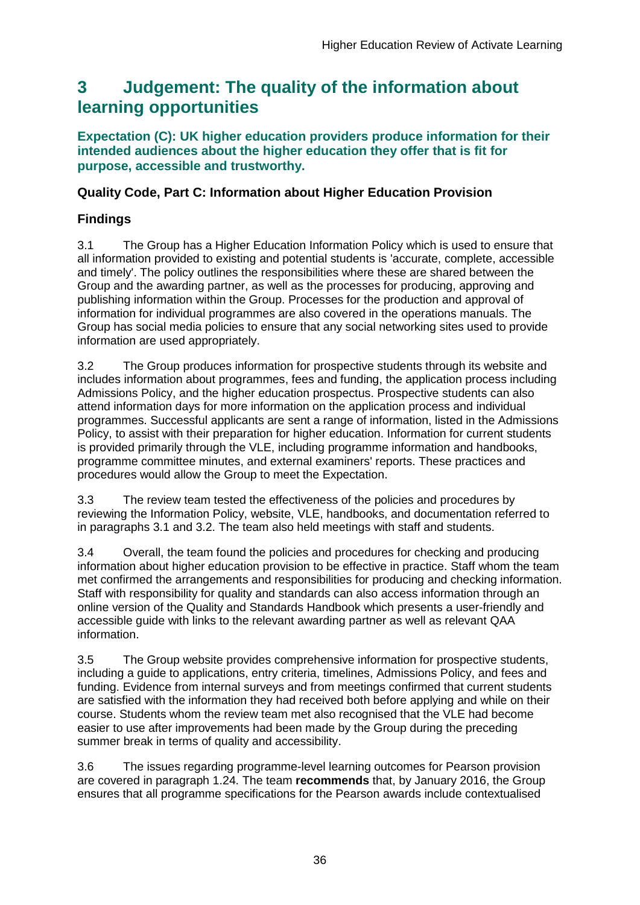# <span id="page-36-0"></span>**3 Judgement: The quality of the information about learning opportunities**

**Expectation (C): UK higher education providers produce information for their intended audiences about the higher education they offer that is fit for purpose, accessible and trustworthy.**

# **Quality Code, Part C: Information about Higher Education Provision**

# **Findings**

3.1 The Group has a Higher Education Information Policy which is used to ensure that all information provided to existing and potential students is 'accurate, complete, accessible and timely'. The policy outlines the responsibilities where these are shared between the Group and the awarding partner, as well as the processes for producing, approving and publishing information within the Group. Processes for the production and approval of information for individual programmes are also covered in the operations manuals. The Group has social media policies to ensure that any social networking sites used to provide information are used appropriately.

3.2 The Group produces information for prospective students through its website and includes information about programmes, fees and funding, the application process including Admissions Policy, and the higher education prospectus. Prospective students can also attend information days for more information on the application process and individual programmes. Successful applicants are sent a range of information, listed in the Admissions Policy, to assist with their preparation for higher education. Information for current students is provided primarily through the VLE, including programme information and handbooks, programme committee minutes, and external examiners' reports. These practices and procedures would allow the Group to meet the Expectation.

3.3 The review team tested the effectiveness of the policies and procedures by reviewing the Information Policy, website, VLE, handbooks, and documentation referred to in paragraphs 3.1 and 3.2. The team also held meetings with staff and students.

3.4 Overall, the team found the policies and procedures for checking and producing information about higher education provision to be effective in practice. Staff whom the team met confirmed the arrangements and responsibilities for producing and checking information. Staff with responsibility for quality and standards can also access information through an online version of the Quality and Standards Handbook which presents a user-friendly and accessible guide with links to the relevant awarding partner as well as relevant QAA information.

3.5 The Group website provides comprehensive information for prospective students, including a guide to applications, entry criteria, timelines, Admissions Policy, and fees and funding. Evidence from internal surveys and from meetings confirmed that current students are satisfied with the information they had received both before applying and while on their course. Students whom the review team met also recognised that the VLE had become easier to use after improvements had been made by the Group during the preceding summer break in terms of quality and accessibility.

3.6 The issues regarding programme-level learning outcomes for Pearson provision are covered in paragraph 1.24. The team **recommends** that, by January 2016, the Group ensures that all programme specifications for the Pearson awards include contextualised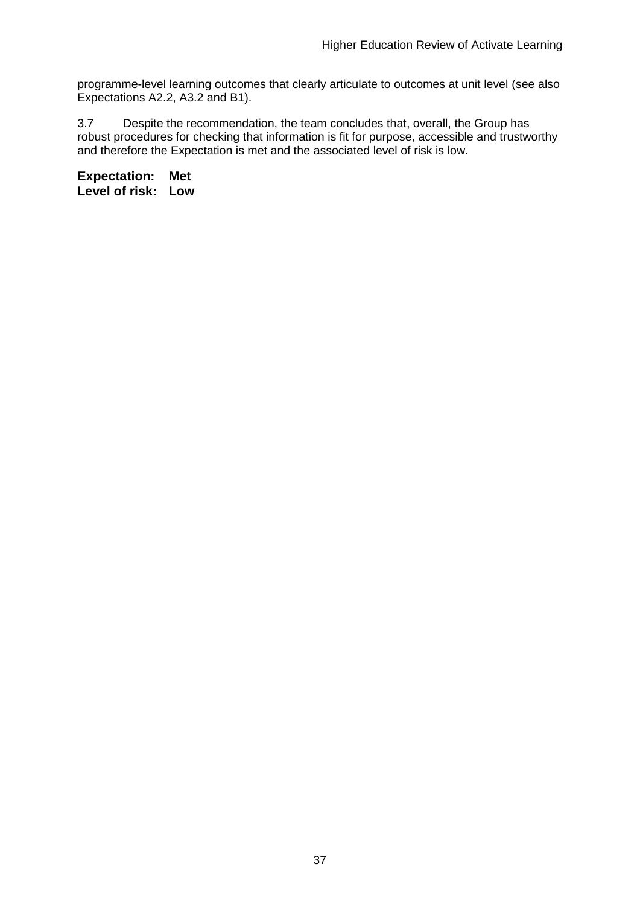programme-level learning outcomes that clearly articulate to outcomes at unit level (see also Expectations A2.2, A3.2 and B1).

3.7 Despite the recommendation, the team concludes that, overall, the Group has robust procedures for checking that information is fit for purpose, accessible and trustworthy and therefore the Expectation is met and the associated level of risk is low.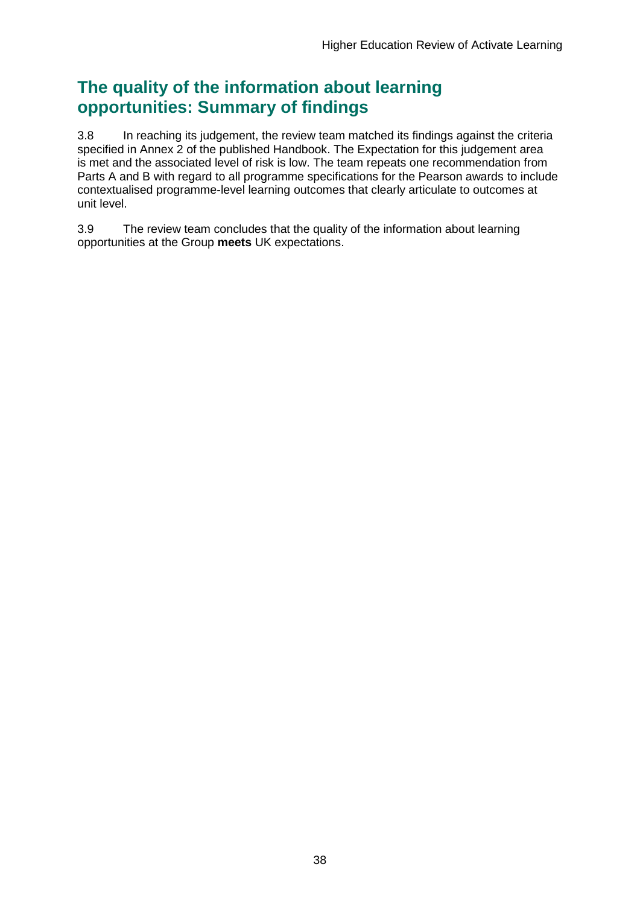# **The quality of the information about learning opportunities: Summary of findings**

3.8 In reaching its judgement, the review team matched its findings against the criteria specified in Annex 2 of the published Handbook. The Expectation for this judgement area is met and the associated level of risk is low. The team repeats one recommendation from Parts A and B with regard to all programme specifications for the Pearson awards to include contextualised programme-level learning outcomes that clearly articulate to outcomes at unit level.

3.9 The review team concludes that the quality of the information about learning opportunities at the Group **meets** UK expectations.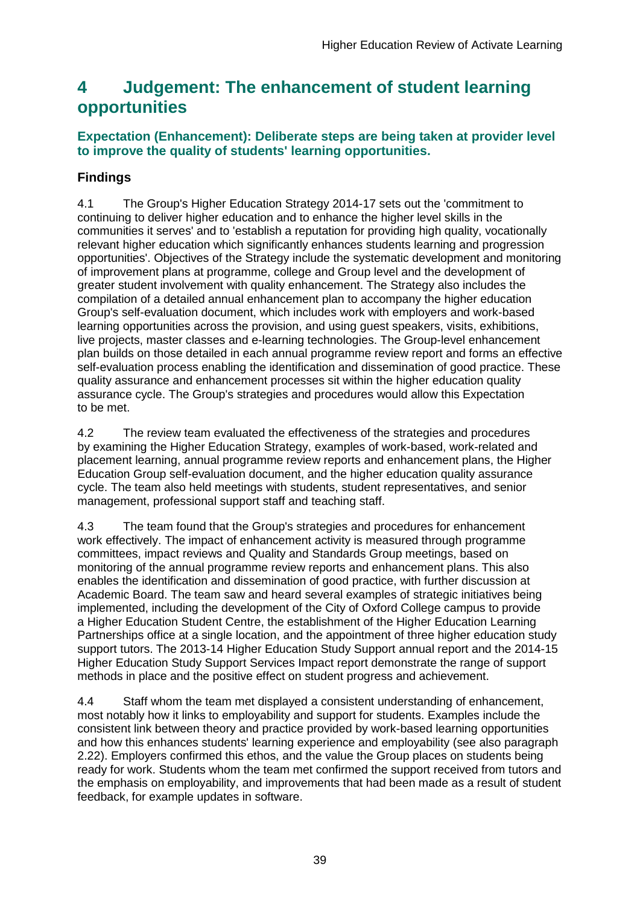# <span id="page-39-0"></span>**4 Judgement: The enhancement of student learning opportunities**

## **Expectation (Enhancement): Deliberate steps are being taken at provider level to improve the quality of students' learning opportunities.**

# **Findings**

4.1 The Group's Higher Education Strategy 2014-17 sets out the 'commitment to continuing to deliver higher education and to enhance the higher level skills in the communities it serves' and to 'establish a reputation for providing high quality, vocationally relevant higher education which significantly enhances students learning and progression opportunities'. Objectives of the Strategy include the systematic development and monitoring of improvement plans at programme, college and Group level and the development of greater student involvement with quality enhancement. The Strategy also includes the compilation of a detailed annual enhancement plan to accompany the higher education Group's self-evaluation document, which includes work with employers and work-based learning opportunities across the provision, and using guest speakers, visits, exhibitions, live projects, master classes and e-learning technologies. The Group-level enhancement plan builds on those detailed in each annual programme review report and forms an effective self-evaluation process enabling the identification and dissemination of good practice. These quality assurance and enhancement processes sit within the higher education quality assurance cycle. The Group's strategies and procedures would allow this Expectation to be met.

4.2 The review team evaluated the effectiveness of the strategies and procedures by examining the Higher Education Strategy, examples of work-based, work-related and placement learning, annual programme review reports and enhancement plans, the Higher Education Group self-evaluation document, and the higher education quality assurance cycle. The team also held meetings with students, student representatives, and senior management, professional support staff and teaching staff.

4.3 The team found that the Group's strategies and procedures for enhancement work effectively. The impact of enhancement activity is measured through programme committees, impact reviews and Quality and Standards Group meetings, based on monitoring of the annual programme review reports and enhancement plans. This also enables the identification and dissemination of good practice, with further discussion at Academic Board. The team saw and heard several examples of strategic initiatives being implemented, including the development of the City of Oxford College campus to provide a Higher Education Student Centre, the establishment of the Higher Education Learning Partnerships office at a single location, and the appointment of three higher education study support tutors. The 2013-14 Higher Education Study Support annual report and the 2014-15 Higher Education Study Support Services Impact report demonstrate the range of support methods in place and the positive effect on student progress and achievement.

4.4 Staff whom the team met displayed a consistent understanding of enhancement, most notably how it links to employability and support for students. Examples include the consistent link between theory and practice provided by work-based learning opportunities and how this enhances students' learning experience and employability (see also paragraph 2.22). Employers confirmed this ethos, and the value the Group places on students being ready for work. Students whom the team met confirmed the support received from tutors and the emphasis on employability, and improvements that had been made as a result of student feedback, for example updates in software.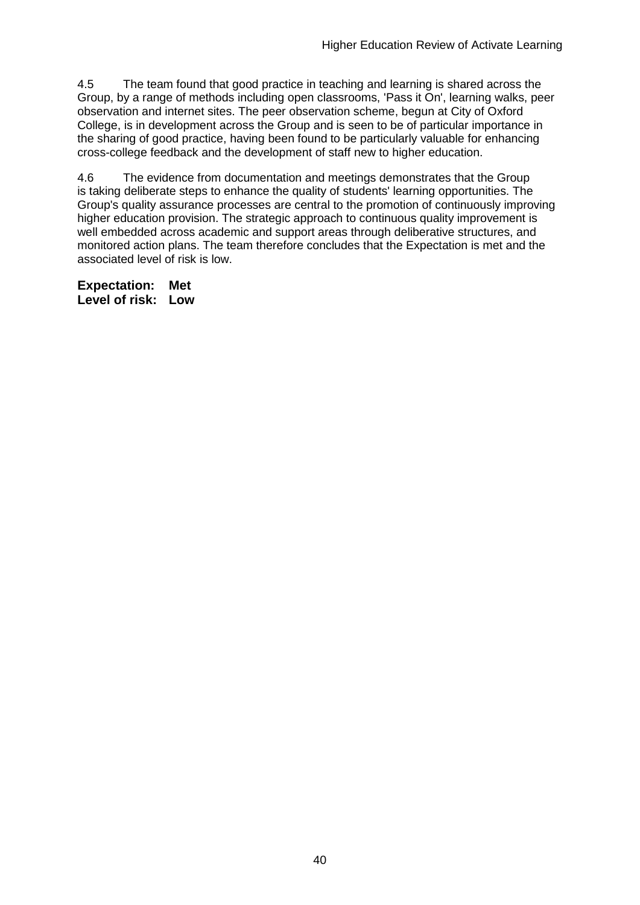4.5 The team found that good practice in teaching and learning is shared across the Group, by a range of methods including open classrooms, 'Pass it On', learning walks, peer observation and internet sites. The peer observation scheme, begun at City of Oxford College, is in development across the Group and is seen to be of particular importance in the sharing of good practice, having been found to be particularly valuable for enhancing cross-college feedback and the development of staff new to higher education.

4.6 The evidence from documentation and meetings demonstrates that the Group is taking deliberate steps to enhance the quality of students' learning opportunities. The Group's quality assurance processes are central to the promotion of continuously improving higher education provision. The strategic approach to continuous quality improvement is well embedded across academic and support areas through deliberative structures, and monitored action plans. The team therefore concludes that the Expectation is met and the associated level of risk is low.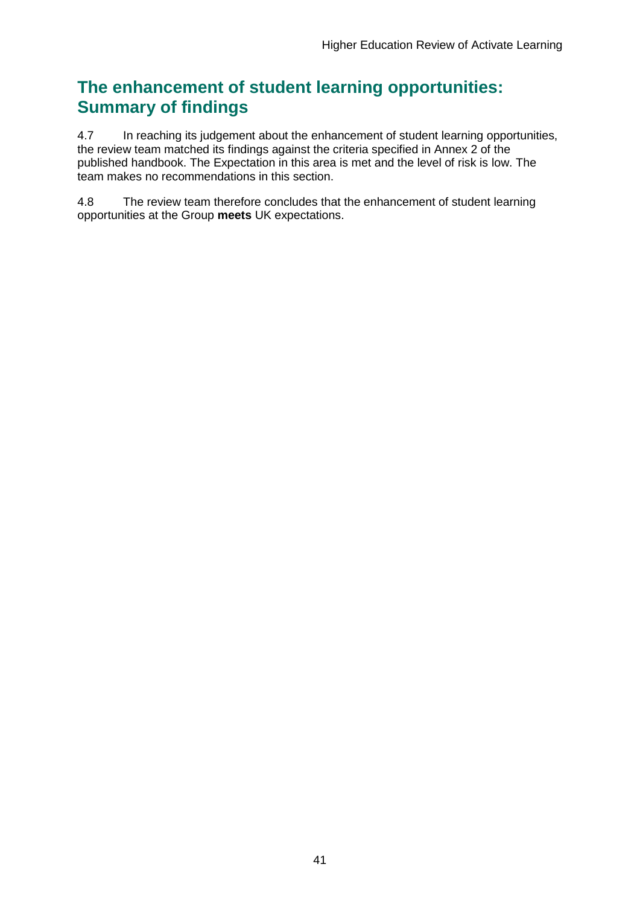# **The enhancement of student learning opportunities: Summary of findings**

4.7 In reaching its judgement about the enhancement of student learning opportunities, the review team matched its findings against the criteria specified in Annex 2 of the published handbook. The Expectation in this area is met and the level of risk is low. The team makes no recommendations in this section.

4.8 The review team therefore concludes that the enhancement of student learning opportunities at the Group **meets** UK expectations.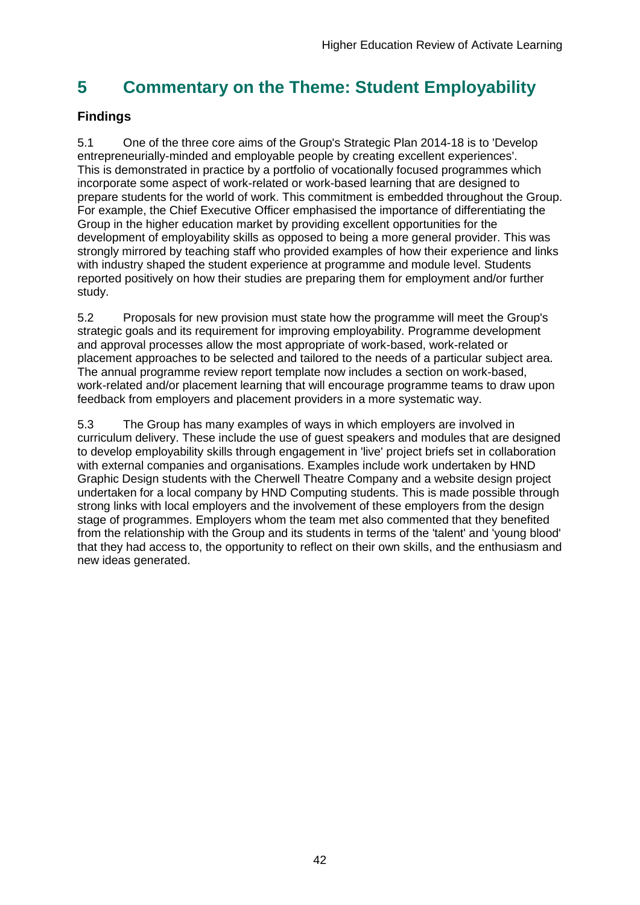# <span id="page-42-0"></span>**5 Commentary on the Theme: Student Employability**

# **Findings**

5.1 One of the three core aims of the Group's Strategic Plan 2014-18 is to 'Develop entrepreneurially-minded and employable people by creating excellent experiences'. This is demonstrated in practice by a portfolio of vocationally focused programmes which incorporate some aspect of work-related or work-based learning that are designed to prepare students for the world of work. This commitment is embedded throughout the Group. For example, the Chief Executive Officer emphasised the importance of differentiating the Group in the higher education market by providing excellent opportunities for the development of employability skills as opposed to being a more general provider. This was strongly mirrored by teaching staff who provided examples of how their experience and links with industry shaped the student experience at programme and module level. Students reported positively on how their studies are preparing them for employment and/or further study.

5.2 Proposals for new provision must state how the programme will meet the Group's strategic goals and its requirement for improving employability. Programme development and approval processes allow the most appropriate of work-based, work-related or placement approaches to be selected and tailored to the needs of a particular subject area. The annual programme review report template now includes a section on work-based, work-related and/or placement learning that will encourage programme teams to draw upon feedback from employers and placement providers in a more systematic way.

<span id="page-42-1"></span>5.3 The Group has many examples of ways in which employers are involved in curriculum delivery. These include the use of guest speakers and modules that are designed to develop employability skills through engagement in 'live' project briefs set in collaboration with external companies and organisations. Examples include work undertaken by HND Graphic Design students with the Cherwell Theatre Company and a website design project undertaken for a local company by HND Computing students. This is made possible through strong links with local employers and the involvement of these employers from the design stage of programmes. Employers whom the team met also commented that they benefited from the relationship with the Group and its students in terms of the 'talent' and 'young blood' that they had access to, the opportunity to reflect on their own skills, and the enthusiasm and new ideas generated.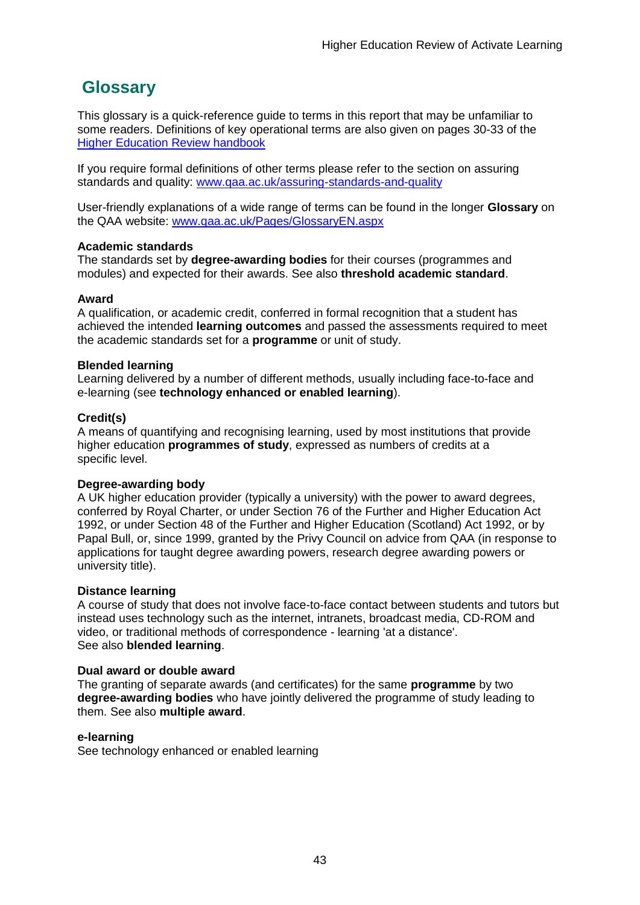# <span id="page-43-0"></span>**Glossary**

This glossary is a quick-reference guide to terms in this report that may be unfamiliar to some readers. Definitions of key operational terms are also given on pages 30-33 of the [Higher Education Review handbook](http://www.qaa.ac.uk/publications/information-and-guidance/publication/?PubID=2963)

If you require formal definitions of other terms please refer to the section on assuring standards and quality: [www.qaa.ac.uk/assuring-standards-and-quality](http://www.qaa.ac.uk/assuring-standards-and-quality)

User-friendly explanations of a wide range of terms can be found in the longer **Glossary** on the QAA website: [www.qaa.ac.uk/Pages/GlossaryEN.aspx](http://www.qaa.ac.uk/Pages/GlossaryEN.aspx)

#### **Academic standards**

The standards set by **degree-awarding bodies** for their courses (programmes and modules) and expected for their awards. See also **threshold academic standard**.

#### **Award**

A qualification, or academic credit, conferred in formal recognition that a student has achieved the intended **learning outcomes** and passed the assessments required to meet the academic standards set for a **programme** or unit of study.

#### **Blended learning**

Learning delivered by a number of different methods, usually including face-to-face and e-learning (see **[technology enhanced or enabled learning](http://www.qaa.ac.uk/AboutUs/glossary/Pages/glossary-t.aspx#t1)**).

#### **Credit(s)**

A means of quantifying and recognising learning, used by most institutions that provide higher education **programmes of study**, expressed as numbers of credits at a specific level.

#### **Degree-awarding body**

A UK [higher education provider](http://newlive.qaa.ac.uk/AboutUs/glossary/Pages/glossary-h.aspx#h2.1) (typically a [university\)](http://newlive.qaa.ac.uk/AboutUs/glossary/Pages/glossary-u-z.aspx#u4) with the power to award degrees, conferred by Royal Charter, or under Section 76 of the Further and Higher Education Act 1992, or under Section 48 of the Further and Higher Education (Scotland) Act 1992, or by Papal Bull, or, since 1999, granted by the Privy Council on advice from QAA (in response to applications for [taught degree awarding powers, research degree awarding powers or](http://newlive.qaa.ac.uk/AboutUs/DAP/Pages/default.aspx)  [university title\)](http://newlive.qaa.ac.uk/AboutUs/DAP/Pages/default.aspx).

#### **Distance learning**

A course of study that does not involve face-to-face contact between students and tutors but instead uses technology such as the internet, intranets, broadcast media, CD-ROM and video, or traditional methods of correspondence - learning 'at a distance'. See also **blended learning**.

#### **Dual award or double award**

The granting of separate awards (and certificates) for the same **programme** by two **degree-awarding bodies** who have jointly delivered the programme of study leading to them. See also **multiple award**.

#### **e-learning**

See technology enhanced or enabled learning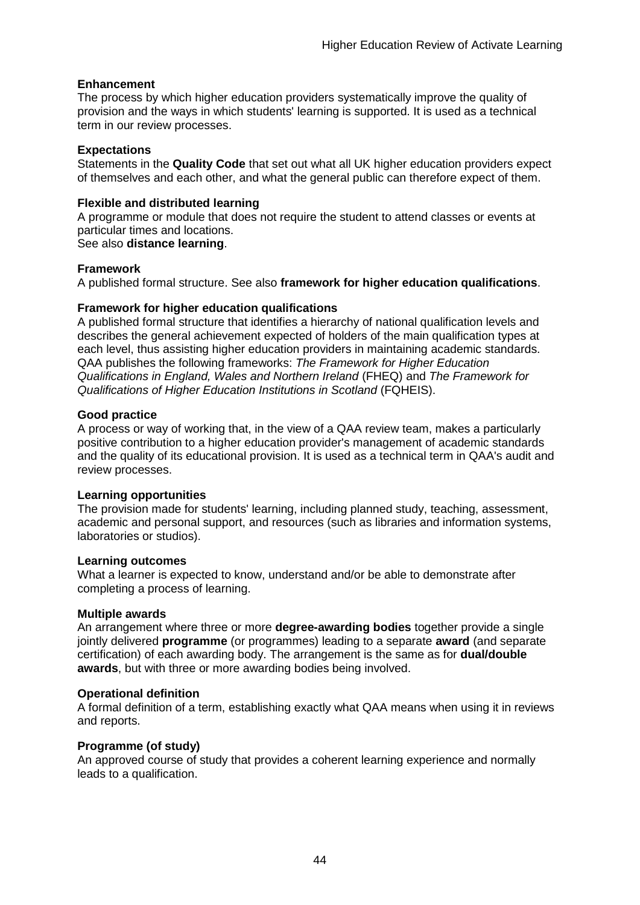#### **Enhancement**

The process by which [higher education providers](http://www.qaa.ac.uk/AboutUs/glossary/Pages/glossary-h.aspx#h2.1) systematically improve the quality of provision and the ways in which students' learning is supported. It is used as a technical term in our review processes.

#### **Expectations**

Statements in the **Quality Code** that set out what all UK [higher education providers](http://newlive.qaa.ac.uk/AboutUs/glossary/Pages/glossary-h.aspx#h2.1) expect of themselves and each other, and what the general public can therefore expect of them.

#### **Flexible and distributed learning**

A [programme](http://newlive.qaa.ac.uk/AboutUs/glossary/Pages/glossary-p.aspx#p12) or [module](http://newlive.qaa.ac.uk/AboutUs/glossary/Pages/glossary-m-o.aspx#m6) that does not require the student to attend classes or events at particular times and locations.

See also **distance learning**.

#### **Framework**

A published formal structure. See also **framework for higher education qualifications**.

#### **Framework for higher education qualifications**

A published formal structure that identifies a hierarchy of national qualification levels and describes the general achievement expected of holders of the main qualification types at each level, thus assisting higher education providers in maintaining academic standards. QAA publishes the following frameworks: *The Framework for Higher Education Qualifications in England, Wales and Northern Ireland* (FHEQ) and *The Framework for Qualifications of Higher Education Institutions in Scotland* (FQHEIS).

#### **Good practice**

A process or way of working that, in the view of a QAA review team, makes a particularly positive contribution to a higher education provider's management of academic standards and the quality of its educational provision. It is used as a technical term in QAA's audit and review processes.

#### **Learning opportunities**

The provision made for students' learning, including planned study, teaching, assessment, academic and personal support, and resources (such as libraries and information systems, laboratories or studios).

#### **Learning outcomes**

What a learner is expected to know, understand and/or be able to demonstrate after completing a process of learning.

#### **Multiple awards**

An arrangement where three or more **degree-awarding bodies** together provide a single jointly delivered **programme** (or programmes) leading to a separate **award** (and separate certification) of each awarding body. The arrangement is the same as for **dual/double awards**, but with three or more awarding bodies being involved.

#### **Operational definition**

A formal definition of a term, establishing exactly what QAA means when using it in reviews and reports.

#### **Programme (of study)**

An approved course of study that provides a coherent learning experience and normally leads to a qualification.